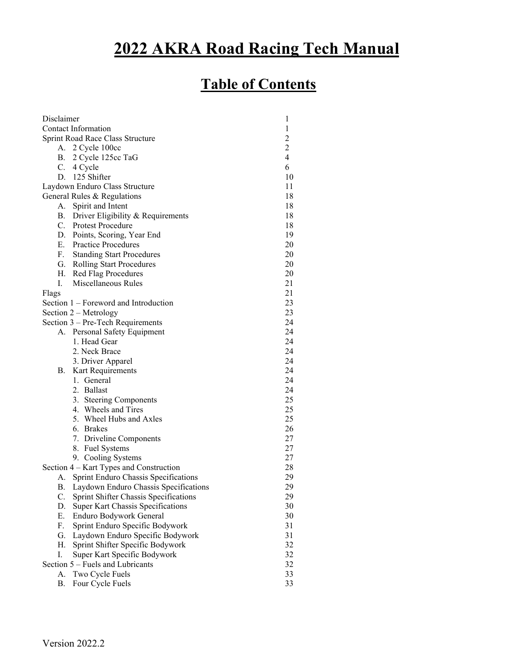# **2022 AKRA Road Racing Tech Manual**

# **Table of Contents**

| Disclaimer<br>1                                    |                                          |                |
|----------------------------------------------------|------------------------------------------|----------------|
| <b>Contact Information</b>                         |                                          | $\mathbf{1}$   |
| $\overline{2}$<br>Sprint Road Race Class Structure |                                          |                |
|                                                    | A. 2 Cycle 100cc                         | $\overline{c}$ |
|                                                    | B. 2 Cycle 125cc TaG                     | $\overline{4}$ |
| C.                                                 | 4 Cycle                                  | 6              |
|                                                    | D. 125 Shifter                           | 10             |
|                                                    | Laydown Enduro Class Structure           | 11             |
|                                                    | General Rules & Regulations              | 18             |
| А.                                                 | Spirit and Intent                        | 18             |
|                                                    | B. Driver Eligibility & Requirements     | 18             |
|                                                    | C. Protest Procedure                     | 18             |
|                                                    | D. Points, Scoring, Year End             | 19             |
|                                                    | E. Practice Procedures                   | 20             |
|                                                    | F. Standing Start Procedures             | 20             |
|                                                    | G. Rolling Start Procedures              | 20             |
|                                                    | H. Red Flag Procedures                   | 20             |
| L.                                                 | Miscellaneous Rules                      | 21             |
| Flags                                              |                                          | 21             |
|                                                    | Section 1 – Foreword and Introduction    | 23             |
|                                                    | Section $2 - Metrology$                  | 23             |
|                                                    | Section 3 – Pre-Tech Requirements        | 24             |
|                                                    | A. Personal Safety Equipment             | 24             |
|                                                    | 1. Head Gear                             | 24             |
|                                                    | 2. Neck Brace                            | 24             |
|                                                    | 3. Driver Apparel                        | 24             |
| В.                                                 | Kart Requirements                        | 24             |
|                                                    | 1. General                               | 24             |
|                                                    | 2. Ballast                               | 24             |
|                                                    | 3. Steering Components                   | 25             |
|                                                    | 4. Wheels and Tires                      | 25             |
|                                                    | 5. Wheel Hubs and Axles                  | 25             |
|                                                    | 6. Brakes                                | 26             |
|                                                    | 7. Driveline Components                  | 27             |
|                                                    | 8. Fuel Systems                          | 27             |
|                                                    | 9. Cooling Systems                       | 27             |
|                                                    | Section 4 – Kart Types and Construction  | 28             |
| А.                                                 | Sprint Enduro Chassis Specifications     | 29             |
|                                                    |                                          | 29             |
|                                                    | B. Laydown Enduro Chassis Specifications | 29             |
| C.<br>D.                                           | Sprint Shifter Chassis Specifications    | 30             |
|                                                    | <b>Super Kart Chassis Specifications</b> |                |
| Ε.                                                 | Enduro Bodywork General                  | 30<br>31       |
| F.                                                 | Sprint Enduro Specific Bodywork          |                |
| G.                                                 | Laydown Enduro Specific Bodywork         | 31             |
| Η.                                                 | Sprint Shifter Specific Bodywork         | 32             |
| I.                                                 | Super Kart Specific Bodywork             | 32             |
| 32<br>Section 5 – Fuels and Lubricants             |                                          |                |
| А.                                                 | Two Cycle Fuels                          | 33             |
| В.                                                 | Four Cycle Fuels                         | 33             |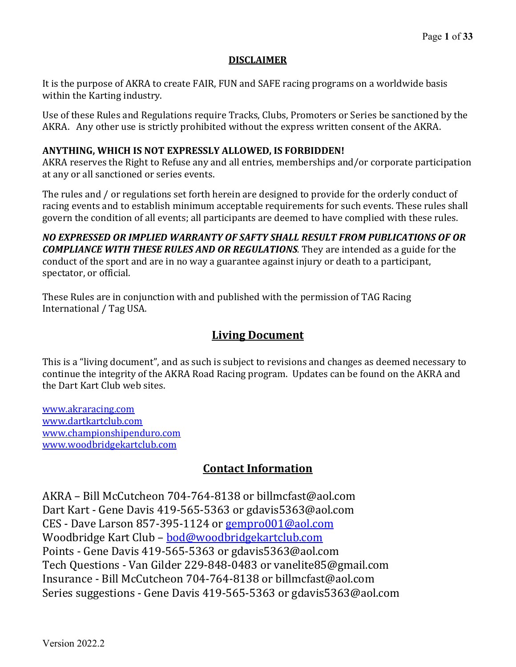# **DISCLAIMER**

It is the purpose of AKRA to create FAIR, FUN and SAFE racing programs on a worldwide basis within the Karting industry.

Use of these Rules and Regulations require Tracks, Clubs, Promoters or Series be sanctioned by the AKRA. Any other use is strictly prohibited without the express written consent of the AKRA.

# **ANYTHING, WHICH IS NOT EXPRESSLY ALLOWED, IS FORBIDDEN!**

AKRA reserves the Right to Refuse any and all entries, memberships and/or corporate participation at any or all sanctioned or series events.

The rules and / or regulations set forth herein are designed to provide for the orderly conduct of racing events and to establish minimum acceptable requirements for such events. These rules shall govern the condition of all events; all participants are deemed to have complied with these rules.

*NO EXPRESSED OR IMPLIED WARRANTY OF SAFTY SHALL RESULT FROM PUBLICATIONS OF OR COMPLIANCE WITH THESE RULES AND OR REGULATIONS.* They are intended as a guide for the conduct of the sport and are in no way a guarantee against injury or death to a participant, spectator, or official.

These Rules are in conjunction with and published with the permission of TAG Racing International / Tag USA.

# **Living Document**

This is a "living document", and as such is subject to revisions and changes as deemed necessary to continue the integrity of the AKRA Road Racing program. Updates can be found on the AKRA and the Dart Kart Club web sites.

[www.akraracing.com](http://www.akraracing.com/) [www.dartkartclub.com](http://www.dartkartclub.com/) www.championshipenduro.com www.woodbridgekartclub.com

# **Contact Information**

AKRA – Bill McCutcheon 704-764-8138 or billmcfast@aol.com Dart Kart - Gene Davis 419-565-5363 or gdavis5363@aol.com CES - Dave Larson 857-395-1124 or [gempro001@aol.com](mailto:gempro001@aol.com) Woodbridge Kart Club – [bod@woodbridgekartclub.com](mailto:bod@woodbridgekartclub.com) Points - Gene Davis 419-565-5363 or gdavis5363@aol.com Tech Questions - Van Gilder 229-848-0483 or vanelite85@gmail.com Insurance - Bill McCutcheon 704-764-8138 or billmcfast@aol.com Series suggestions - Gene Davis 419-565-5363 or gdavis5363@aol.com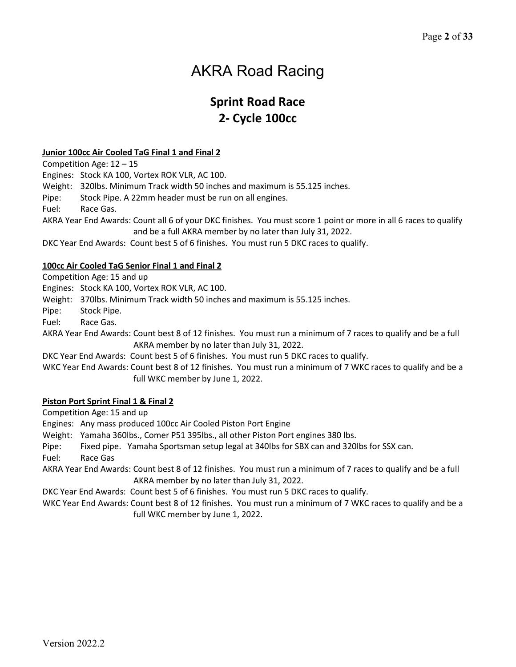# AKRA Road Racing

# **Sprint Road Race 2- Cycle 100cc**

#### **Junior 100cc Air Cooled TaG Final 1 and Final 2**

Competition Age: 12 – 15

Engines: Stock KA 100, Vortex ROK VLR, AC 100.

Weight: 320lbs. Minimum Track width 50 inches and maximum is 55.125 inches.

Pipe: Stock Pipe. A 22mm header must be run on all engines.

Fuel: Race Gas.

AKRA Year End Awards: Count all 6 of your DKC finishes. You must score 1 point or more in all 6 races to qualify and be a full AKRA member by no later than July 31, 2022.

DKC Year End Awards: Count best 5 of 6 finishes. You must run 5 DKC races to qualify.

#### **100cc Air Cooled TaG Senior Final 1 and Final 2**

Competition Age: 15 and up

Engines: Stock KA 100, Vortex ROK VLR, AC 100.

Weight: 370lbs. Minimum Track width 50 inches and maximum is 55.125 inches.

Pipe: Stock Pipe.

Fuel: Race Gas.

AKRA Year End Awards: Count best 8 of 12 finishes. You must run a minimum of 7 races to qualify and be a full AKRA member by no later than July 31, 2022.

DKC Year End Awards: Count best 5 of 6 finishes. You must run 5 DKC races to qualify.

WKC Year End Awards: Count best 8 of 12 finishes. You must run a minimum of 7 WKC races to qualify and be a full WKC member by June 1, 2022.

#### **Piston Port Sprint Final 1 & Final 2**

Competition Age: 15 and up

Engines: Any mass produced 100cc Air Cooled Piston Port Engine

Weight: Yamaha 360lbs., Comer P51 395lbs., all other Piston Port engines 380 lbs.

Pipe: Fixed pipe. Yamaha Sportsman setup legal at 340lbs for SBX can and 320lbs for SSX can.

Fuel: Race Gas

AKRA Year End Awards: Count best 8 of 12 finishes. You must run a minimum of 7 races to qualify and be a full AKRA member by no later than July 31, 2022.

DKC Year End Awards: Count best 5 of 6 finishes. You must run 5 DKC races to qualify.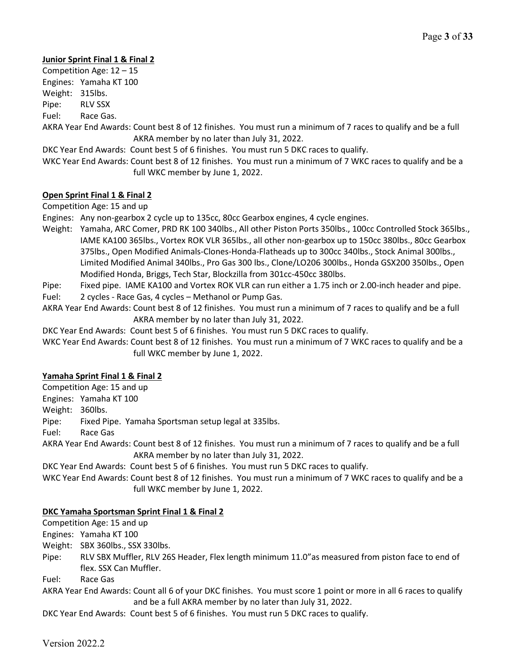## **Junior Sprint Final 1 & Final 2**

Competition Age: 12 – 15 Engines: Yamaha KT 100 Weight: 315lbs. Pipe: RLV SSX Fuel: Race Gas.

AKRA Year End Awards: Count best 8 of 12 finishes. You must run a minimum of 7 races to qualify and be a full AKRA member by no later than July 31, 2022.

DKC Year End Awards: Count best 5 of 6 finishes. You must run 5 DKC races to qualify.

WKC Year End Awards: Count best 8 of 12 finishes. You must run a minimum of 7 WKC races to qualify and be a full WKC member by June 1, 2022.

#### **Open Sprint Final 1 & Final 2**

Competition Age: 15 and up

Engines: Any non-gearbox 2 cycle up to 135cc, 80cc Gearbox engines, 4 cycle engines.

- Weight: Yamaha, ARC Comer, PRD RK 100 340lbs., All other Piston Ports 350lbs., 100cc Controlled Stock 365lbs., IAME KA100 365lbs., Vortex ROK VLR 365lbs., all other non-gearbox up to 150cc 380lbs., 80cc Gearbox 375lbs., Open Modified Animals-Clones-Honda-Flatheads up to 300cc 340lbs., Stock Animal 300lbs., Limited Modified Animal 340lbs., Pro Gas 300 lbs., Clone/LO206 300lbs., Honda GSX200 350lbs., Open Modified Honda, Briggs, Tech Star, Blockzilla from 301cc-450cc 380lbs.
- Pipe: Fixed pipe. IAME KA100 and Vortex ROK VLR can run either a 1.75 inch or 2.00-inch header and pipe.
- Fuel: 2 cycles Race Gas, 4 cycles Methanol or Pump Gas.
- AKRA Year End Awards: Count best 8 of 12 finishes. You must run a minimum of 7 races to qualify and be a full AKRA member by no later than July 31, 2022.

DKC Year End Awards: Count best 5 of 6 finishes. You must run 5 DKC races to qualify.

WKC Year End Awards: Count best 8 of 12 finishes. You must run a minimum of 7 WKC races to qualify and be a full WKC member by June 1, 2022.

#### **Yamaha Sprint Final 1 & Final 2**

Competition Age: 15 and up

Engines: Yamaha KT 100

Weight: 360lbs.

Pipe: Fixed Pipe. Yamaha Sportsman setup legal at 335lbs.

Fuel: Race Gas

AKRA Year End Awards: Count best 8 of 12 finishes. You must run a minimum of 7 races to qualify and be a full AKRA member by no later than July 31, 2022.

DKC Year End Awards: Count best 5 of 6 finishes. You must run 5 DKC races to qualify.

WKC Year End Awards: Count best 8 of 12 finishes. You must run a minimum of 7 WKC races to qualify and be a full WKC member by June 1, 2022.

#### **DKC Yamaha Sportsman Sprint Final 1 & Final 2**

Competition Age: 15 and up

Engines: Yamaha KT 100

Weight: SBX 360lbs., SSX 330lbs.

Pipe: RLV SBX Muffler, RLV 26S Header, Flex length minimum 11.0"as measured from piston face to end of flex. SSX Can Muffler.

Fuel: Race Gas

AKRA Year End Awards: Count all 6 of your DKC finishes. You must score 1 point or more in all 6 races to qualify and be a full AKRA member by no later than July 31, 2022.

DKC Year End Awards: Count best 5 of 6 finishes. You must run 5 DKC races to qualify.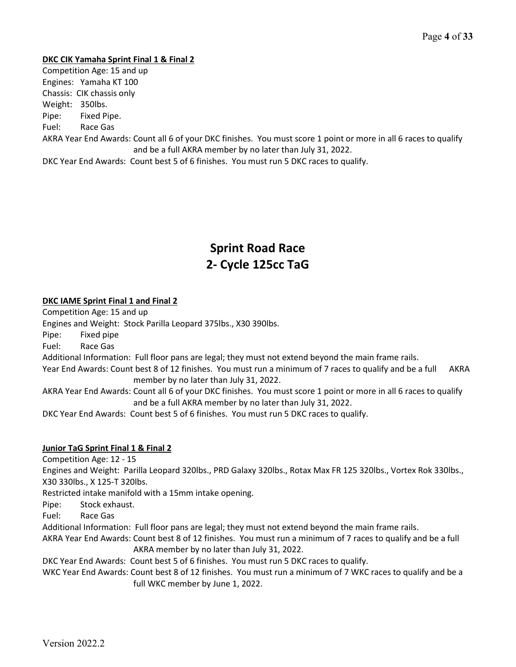#### **DKC CIK Yamaha Sprint Final 1 & Final 2**

Competition Age: 15 and up Engines: Yamaha KT 100 Chassis: CIK chassis only Weight: 350lbs. Pipe: Fixed Pipe. Fuel: Race Gas AKRA Year End Awards: Count all 6 of your DKC finishes. You must score 1 point or more in all 6 races to qualify and be a full AKRA member by no later than July 31, 2022.

DKC Year End Awards: Count best 5 of 6 finishes. You must run 5 DKC races to qualify.

# **Sprint Road Race 2- Cycle 125cc TaG**

## **DKC IAME Sprint Final 1 and Final 2**

Competition Age: 15 and up

Engines and Weight: Stock Parilla Leopard 375lbs., X30 390lbs.

Pipe: Fixed pipe

Fuel: Race Gas

Additional Information: Full floor pans are legal; they must not extend beyond the main frame rails.

Year End Awards: Count best 8 of 12 finishes. You must run a minimum of 7 races to qualify and be a full AKRA member by no later than July 31, 2022.

AKRA Year End Awards: Count all 6 of your DKC finishes. You must score 1 point or more in all 6 races to qualify and be a full AKRA member by no later than July 31, 2022.

DKC Year End Awards: Count best 5 of 6 finishes. You must run 5 DKC races to qualify.

#### **Junior TaG Sprint Final 1 & Final 2**

Competition Age: 12 - 15

Engines and Weight: Parilla Leopard 320lbs., PRD Galaxy 320lbs., Rotax Max FR 125 320lbs., Vortex Rok 330lbs., X30 330lbs., X 125-T 320lbs.

Restricted intake manifold with a 15mm intake opening.

Pipe: Stock exhaust.

Fuel: Race Gas

Additional Information: Full floor pans are legal; they must not extend beyond the main frame rails.

AKRA Year End Awards: Count best 8 of 12 finishes. You must run a minimum of 7 races to qualify and be a full AKRA member by no later than July 31, 2022.

DKC Year End Awards: Count best 5 of 6 finishes. You must run 5 DKC races to qualify.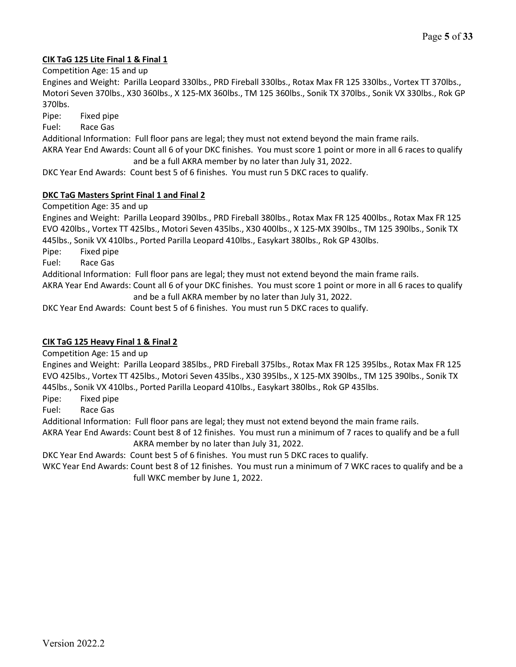# **CIK TaG 125 Lite Final 1 & Final 1**

Competition Age: 15 and up

Engines and Weight: Parilla Leopard 330lbs., PRD Fireball 330lbs., Rotax Max FR 125 330lbs., Vortex TT 370lbs., Motori Seven 370lbs., X30 360lbs., X 125-MX 360lbs., TM 125 360lbs., Sonik TX 370lbs., Sonik VX 330lbs., Rok GP 370lbs.

Pipe: Fixed pipe

Fuel: Race Gas

Additional Information: Full floor pans are legal; they must not extend beyond the main frame rails.

AKRA Year End Awards: Count all 6 of your DKC finishes. You must score 1 point or more in all 6 races to qualify and be a full AKRA member by no later than July 31, 2022.

DKC Year End Awards: Count best 5 of 6 finishes. You must run 5 DKC races to qualify.

#### **DKC TaG Masters Sprint Final 1 and Final 2**

Competition Age: 35 and up

Engines and Weight: Parilla Leopard 390lbs., PRD Fireball 380lbs., Rotax Max FR 125 400lbs., Rotax Max FR 125 EVO 420lbs., Vortex TT 425lbs., Motori Seven 435lbs., X30 400lbs., X 125-MX 390lbs., TM 125 390lbs., Sonik TX 445lbs., Sonik VX 410lbs., Ported Parilla Leopard 410lbs., Easykart 380lbs., Rok GP 430lbs.

Pipe: Fixed pipe

Fuel: Race Gas

Additional Information: Full floor pans are legal; they must not extend beyond the main frame rails.

AKRA Year End Awards: Count all 6 of your DKC finishes. You must score 1 point or more in all 6 races to qualify and be a full AKRA member by no later than July 31, 2022.

DKC Year End Awards: Count best 5 of 6 finishes. You must run 5 DKC races to qualify.

#### **CIK TaG 125 Heavy Final 1 & Final 2**

Competition Age: 15 and up

Engines and Weight: Parilla Leopard 385lbs., PRD Fireball 375lbs., Rotax Max FR 125 395lbs., Rotax Max FR 125 EVO 425lbs., Vortex TT 425lbs., Motori Seven 435lbs., X30 395lbs., X 125-MX 390lbs., TM 125 390lbs., Sonik TX 445lbs., Sonik VX 410lbs., Ported Parilla Leopard 410lbs., Easykart 380lbs., Rok GP 435lbs.

Pipe: Fixed pipe

Fuel: Race Gas

Additional Information: Full floor pans are legal; they must not extend beyond the main frame rails.

AKRA Year End Awards: Count best 8 of 12 finishes. You must run a minimum of 7 races to qualify and be a full AKRA member by no later than July 31, 2022.

DKC Year End Awards: Count best 5 of 6 finishes. You must run 5 DKC races to qualify.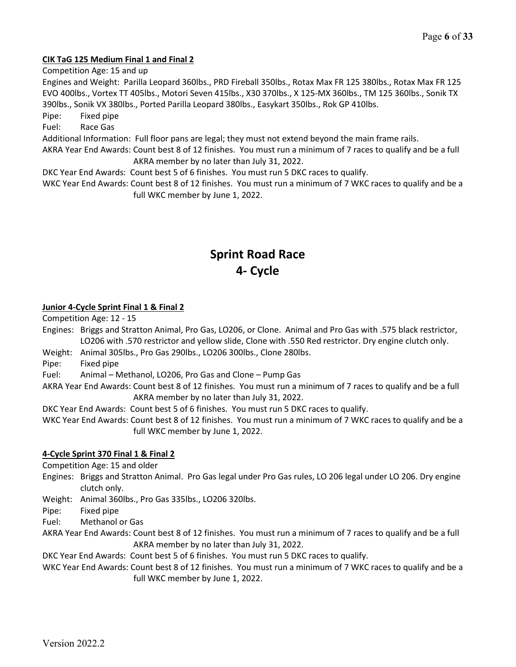## **CIK TaG 125 Medium Final 1 and Final 2**

Competition Age: 15 and up

Engines and Weight: Parilla Leopard 360lbs., PRD Fireball 350lbs., Rotax Max FR 125 380lbs., Rotax Max FR 125 EVO 400lbs., Vortex TT 405lbs., Motori Seven 415lbs., X30 370lbs., X 125-MX 360lbs., TM 125 360lbs., Sonik TX 390lbs., Sonik VX 380lbs., Ported Parilla Leopard 380lbs., Easykart 350lbs., Rok GP 410lbs.

Pipe: Fixed pipe

Fuel: Race Gas

Additional Information: Full floor pans are legal; they must not extend beyond the main frame rails.

AKRA Year End Awards: Count best 8 of 12 finishes. You must run a minimum of 7 races to qualify and be a full AKRA member by no later than July 31, 2022.

DKC Year End Awards: Count best 5 of 6 finishes. You must run 5 DKC races to qualify. WKC Year End Awards: Count best 8 of 12 finishes. You must run a minimum of 7 WKC races to qualify and be a

full WKC member by June 1, 2022.

# **Sprint Road Race 4- Cycle**

## **Junior 4-Cycle Sprint Final 1 & Final 2**

Competition Age: 12 - 15

Engines: Briggs and Stratton Animal, Pro Gas, LO206, or Clone. Animal and Pro Gas with .575 black restrictor, LO206 with .570 restrictor and yellow slide, Clone with .550 Red restrictor. Dry engine clutch only.

Weight: Animal 305lbs., Pro Gas 290lbs., LO206 300lbs., Clone 280lbs.

Pipe: Fixed pipe

Fuel: Animal – Methanol, LO206, Pro Gas and Clone – Pump Gas

AKRA Year End Awards: Count best 8 of 12 finishes. You must run a minimum of 7 races to qualify and be a full AKRA member by no later than July 31, 2022.

DKC Year End Awards: Count best 5 of 6 finishes. You must run 5 DKC races to qualify.

WKC Year End Awards: Count best 8 of 12 finishes. You must run a minimum of 7 WKC races to qualify and be a full WKC member by June 1, 2022.

# **4-Cycle Sprint 370 Final 1 & Final 2**

Competition Age: 15 and older

Engines: Briggs and Stratton Animal. Pro Gas legal under Pro Gas rules, LO 206 legal under LO 206. Dry engine clutch only.

Weight: Animal 360lbs., Pro Gas 335lbs., LO206 320lbs.

Pipe: Fixed pipe

Fuel: Methanol or Gas

AKRA Year End Awards: Count best 8 of 12 finishes. You must run a minimum of 7 races to qualify and be a full AKRA member by no later than July 31, 2022.

DKC Year End Awards: Count best 5 of 6 finishes. You must run 5 DKC races to qualify.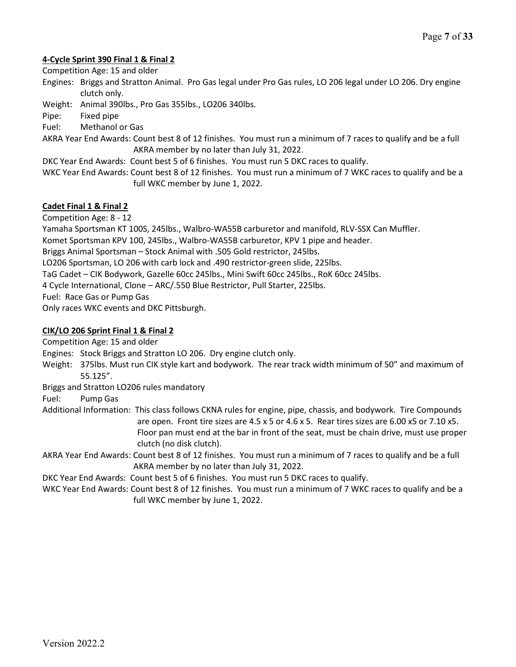## **4-Cycle Sprint 390 Final 1 & Final 2**

Competition Age: 15 and older

Engines: Briggs and Stratton Animal. Pro Gas legal under Pro Gas rules, LO 206 legal under LO 206. Dry engine clutch only.

Weight: Animal 390lbs., Pro Gas 355lbs., LO206 340lbs.

Pipe: Fixed pipe

Fuel: Methanol or Gas

AKRA Year End Awards: Count best 8 of 12 finishes. You must run a minimum of 7 races to qualify and be a full AKRA member by no later than July 31, 2022.

DKC Year End Awards: Count best 5 of 6 finishes. You must run 5 DKC races to qualify.

WKC Year End Awards: Count best 8 of 12 finishes. You must run a minimum of 7 WKC races to qualify and be a full WKC member by June 1, 2022.

## **Cadet Final 1 & Final 2**

Competition Age: 8 - 12

Yamaha Sportsman KT 100S, 245lbs., Walbro-WA55B carburetor and manifold, RLV-SSX Can Muffler.

Komet Sportsman KPV 100, 245lbs., Walbro-WA55B carburetor, KPV 1 pipe and header.

Briggs Animal Sportsman – Stock Animal with .505 Gold restrictor, 245lbs.

LO206 Sportsman, LO 206 with carb lock and .490 restrictor-green slide, 225lbs.

TaG Cadet – CIK Bodywork, Gazelle 60cc 245lbs., Mini Swift 60cc 245lbs., RoK 60cc 245lbs.

4 Cycle International, Clone – ARC/.550 Blue Restrictor, Pull Starter, 225lbs.

Fuel: Race Gas or Pump Gas

Only races WKC events and DKC Pittsburgh.

## **CIK/LO 206 Sprint Final 1 & Final 2**

Competition Age: 15 and older

Engines: Stock Briggs and Stratton LO 206. Dry engine clutch only.

Weight: 375lbs. Must run CIK style kart and bodywork. The rear track width minimum of 50" and maximum of 55.125".

Briggs and Stratton LO206 rules mandatory

Fuel: Pump Gas

Additional Information: This class follows CKNA rules for engine, pipe, chassis, and bodywork. Tire Compounds are open. Front tire sizes are 4.5 x 5 or 4.6 x 5. Rear tires sizes are 6.00 x5 or 7.10 x5. Floor pan must end at the bar in front of the seat, must be chain drive, must use proper clutch (no disk clutch).

AKRA Year End Awards: Count best 8 of 12 finishes. You must run a minimum of 7 races to qualify and be a full AKRA member by no later than July 31, 2022.

DKC Year End Awards: Count best 5 of 6 finishes. You must run 5 DKC races to qualify.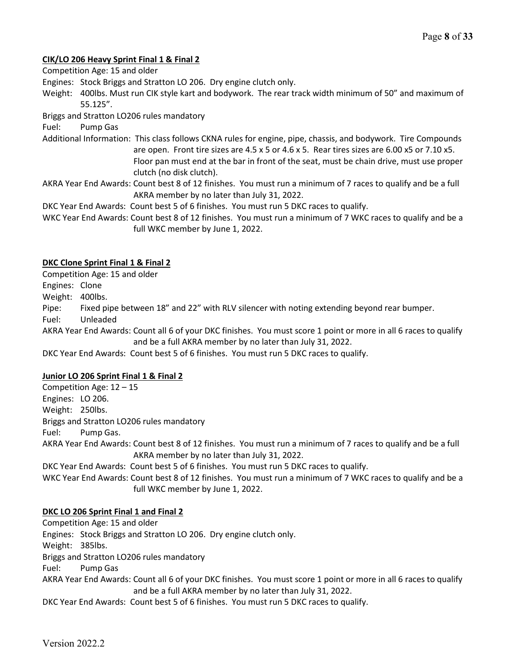## **CIK/LO 206 Heavy Sprint Final 1 & Final 2**

Competition Age: 15 and older

- Engines: Stock Briggs and Stratton LO 206. Dry engine clutch only.
- Weight: 400lbs. Must run CIK style kart and bodywork. The rear track width minimum of 50" and maximum of 55.125".

Briggs and Stratton LO206 rules mandatory

Fuel: Pump Gas

Additional Information: This class follows CKNA rules for engine, pipe, chassis, and bodywork. Tire Compounds are open. Front tire sizes are 4.5 x 5 or 4.6 x 5. Rear tires sizes are 6.00 x5 or 7.10 x5. Floor pan must end at the bar in front of the seat, must be chain drive, must use proper clutch (no disk clutch).

AKRA Year End Awards: Count best 8 of 12 finishes. You must run a minimum of 7 races to qualify and be a full AKRA member by no later than July 31, 2022.

DKC Year End Awards: Count best 5 of 6 finishes. You must run 5 DKC races to qualify.

WKC Year End Awards: Count best 8 of 12 finishes. You must run a minimum of 7 WKC races to qualify and be a full WKC member by June 1, 2022.

#### **DKC Clone Sprint Final 1 & Final 2**

Competition Age: 15 and older

Engines: Clone

Weight: 400lbs.

Pipe: Fixed pipe between 18" and 22" with RLV silencer with noting extending beyond rear bumper.

Fuel: Unleaded

AKRA Year End Awards: Count all 6 of your DKC finishes. You must score 1 point or more in all 6 races to qualify and be a full AKRA member by no later than July 31, 2022.

DKC Year End Awards: Count best 5 of 6 finishes. You must run 5 DKC races to qualify.

#### **Junior LO 206 Sprint Final 1 & Final 2**

Competition Age: 12 – 15 Engines: LO 206. Weight: 250lbs. Briggs and Stratton LO206 rules mandatory Fuel: Pump Gas. AKRA Year End Awards: Count best 8 of 12 finishes. You must run a minimum of 7 races to qualify and be a full AKRA member by no later than July 31, 2022.

DKC Year End Awards: Count best 5 of 6 finishes. You must run 5 DKC races to qualify.

WKC Year End Awards: Count best 8 of 12 finishes. You must run a minimum of 7 WKC races to qualify and be a full WKC member by June 1, 2022.

# **DKC LO 206 Sprint Final 1 and Final 2**

Competition Age: 15 and older Engines: Stock Briggs and Stratton LO 206. Dry engine clutch only. Weight: 385lbs. Briggs and Stratton LO206 rules mandatory Fuel: Pump Gas AKRA Year End Awards: Count all 6 of your DKC finishes. You must score 1 point or more in all 6 races to qualify and be a full AKRA member by no later than July 31, 2022. DKC Year End Awards: Count best 5 of 6 finishes. You must run 5 DKC races to qualify.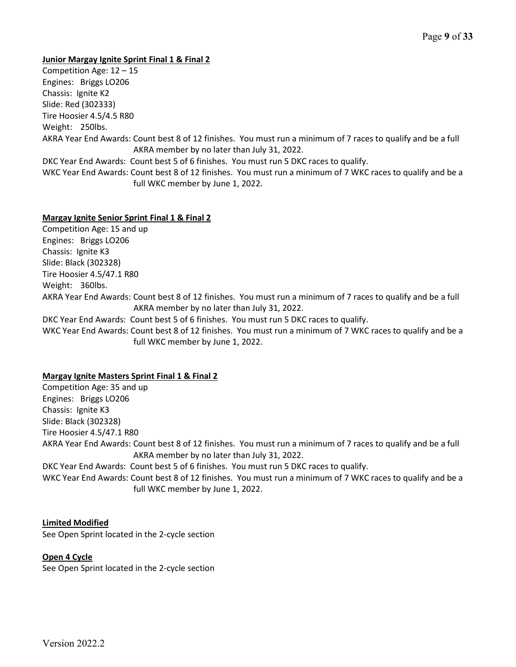#### **Junior Margay Ignite Sprint Final 1 & Final 2**

Competition Age: 12 – 15 Engines: Briggs LO206 Chassis: Ignite K2 Slide: Red (302333) Tire Hoosier 4.5/4.5 R80 Weight: 250lbs. AKRA Year End Awards: Count best 8 of 12 finishes. You must run a minimum of 7 races to qualify and be a full AKRA member by no later than July 31, 2022. DKC Year End Awards: Count best 5 of 6 finishes. You must run 5 DKC races to qualify. WKC Year End Awards: Count best 8 of 12 finishes. You must run a minimum of 7 WKC races to qualify and be a full WKC member by June 1, 2022.

#### **Margay Ignite Senior Sprint Final 1 & Final 2**

Competition Age: 15 and up Engines: Briggs LO206 Chassis: Ignite K3 Slide: Black (302328) Tire Hoosier 4.5/47.1 R80 Weight: 360lbs. AKRA Year End Awards: Count best 8 of 12 finishes. You must run a minimum of 7 races to qualify and be a full AKRA member by no later than July 31, 2022. DKC Year End Awards: Count best 5 of 6 finishes. You must run 5 DKC races to qualify. WKC Year End Awards: Count best 8 of 12 finishes. You must run a minimum of 7 WKC races to qualify and be a full WKC member by June 1, 2022.

#### **Margay Ignite Masters Sprint Final 1 & Final 2**

Competition Age: 35 and up Engines: Briggs LO206 Chassis: Ignite K3 Slide: Black (302328) Tire Hoosier 4.5/47.1 R80 AKRA Year End Awards: Count best 8 of 12 finishes. You must run a minimum of 7 races to qualify and be a full AKRA member by no later than July 31, 2022. DKC Year End Awards: Count best 5 of 6 finishes. You must run 5 DKC races to qualify. WKC Year End Awards: Count best 8 of 12 finishes. You must run a minimum of 7 WKC races to qualify and be a full WKC member by June 1, 2022.

#### **Limited Modified**

See Open Sprint located in the 2-cycle section

#### **Open 4 Cycle**

See Open Sprint located in the 2-cycle section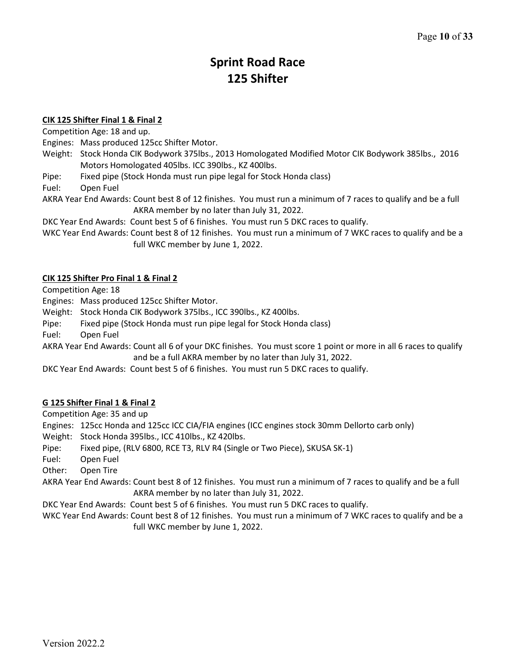# **Sprint Road Race 125 Shifter**

#### **CIK 125 Shifter Final 1 & Final 2**

Competition Age: 18 and up.

Engines: Mass produced 125cc Shifter Motor.

- Weight: Stock Honda CIK Bodywork 375lbs., 2013 Homologated Modified Motor CIK Bodywork 385lbs., 2016 Motors Homologated 405lbs. ICC 390lbs., KZ 400lbs.
- Pipe: Fixed pipe (Stock Honda must run pipe legal for Stock Honda class)

Fuel: Open Fuel

AKRA Year End Awards: Count best 8 of 12 finishes. You must run a minimum of 7 races to qualify and be a full AKRA member by no later than July 31, 2022.

DKC Year End Awards: Count best 5 of 6 finishes. You must run 5 DKC races to qualify.

WKC Year End Awards: Count best 8 of 12 finishes. You must run a minimum of 7 WKC races to qualify and be a full WKC member by June 1, 2022.

## **CIK 125 Shifter Pro Final 1 & Final 2**

Competition Age: 18

Engines: Mass produced 125cc Shifter Motor.

Weight: Stock Honda CIK Bodywork 375lbs., ICC 390lbs., KZ 400lbs.

Pipe: Fixed pipe (Stock Honda must run pipe legal for Stock Honda class)

Fuel: Open Fuel

AKRA Year End Awards: Count all 6 of your DKC finishes. You must score 1 point or more in all 6 races to qualify and be a full AKRA member by no later than July 31, 2022.

DKC Year End Awards: Count best 5 of 6 finishes. You must run 5 DKC races to qualify.

# **G 125 Shifter Final 1 & Final 2**

Competition Age: 35 and up

Engines: 125cc Honda and 125cc ICC CIA/FIA engines (ICC engines stock 30mm Dellorto carb only)

Weight: Stock Honda 395lbs., ICC 410lbs., KZ 420lbs.

Pipe: Fixed pipe, (RLV 6800, RCE T3, RLV R4 (Single or Two Piece), SKUSA SK-1)

Fuel: Open Fuel

Other: Open Tire

AKRA Year End Awards: Count best 8 of 12 finishes. You must run a minimum of 7 races to qualify and be a full AKRA member by no later than July 31, 2022.

DKC Year End Awards: Count best 5 of 6 finishes. You must run 5 DKC races to qualify.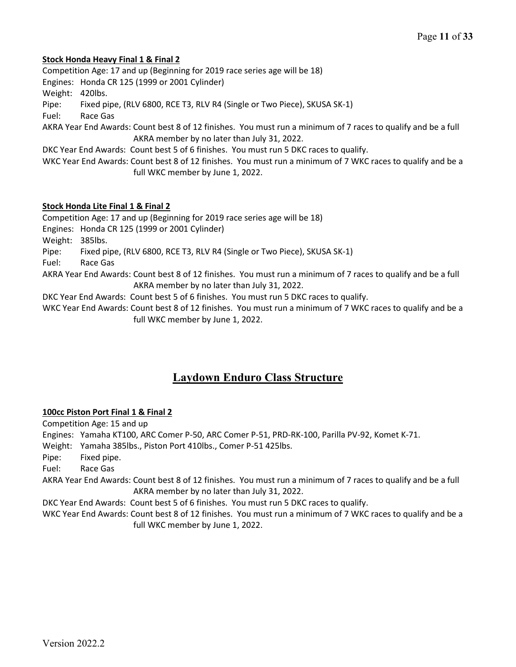#### **Stock Honda Heavy Final 1 & Final 2**

Competition Age: 17 and up (Beginning for 2019 race series age will be 18) Engines: Honda CR 125 (1999 or 2001 Cylinder) Weight: 420lbs. Pipe: Fixed pipe, (RLV 6800, RCE T3, RLV R4 (Single or Two Piece), SKUSA SK-1) Fuel: Race Gas AKRA Year End Awards: Count best 8 of 12 finishes. You must run a minimum of 7 races to qualify and be a full AKRA member by no later than July 31, 2022. DKC Year End Awards: Count best 5 of 6 finishes. You must run 5 DKC races to qualify. WKC Year End Awards: Count best 8 of 12 finishes. You must run a minimum of 7 WKC races to qualify and be a full WKC member by June 1, 2022.

## **Stock Honda Lite Final 1 & Final 2**

Competition Age: 17 and up (Beginning for 2019 race series age will be 18) Engines: Honda CR 125 (1999 or 2001 Cylinder) Weight: 385lbs.

Pipe: Fixed pipe, (RLV 6800, RCE T3, RLV R4 (Single or Two Piece), SKUSA SK-1)

Fuel: Race Gas

AKRA Year End Awards: Count best 8 of 12 finishes. You must run a minimum of 7 races to qualify and be a full AKRA member by no later than July 31, 2022.

DKC Year End Awards: Count best 5 of 6 finishes. You must run 5 DKC races to qualify.

WKC Year End Awards: Count best 8 of 12 finishes. You must run a minimum of 7 WKC races to qualify and be a full WKC member by June 1, 2022.

# **Laydown Enduro Class Structure**

#### **100cc Piston Port Final 1 & Final 2**

Competition Age: 15 and up

Engines: Yamaha KT100, ARC Comer P-50, ARC Comer P-51, PRD-RK-100, Parilla PV-92, Komet K-71.

Weight: Yamaha 385lbs., Piston Port 410lbs., Comer P-51 425lbs.

Pipe: Fixed pipe.

Fuel: Race Gas

AKRA Year End Awards: Count best 8 of 12 finishes. You must run a minimum of 7 races to qualify and be a full AKRA member by no later than July 31, 2022.

DKC Year End Awards: Count best 5 of 6 finishes. You must run 5 DKC races to qualify.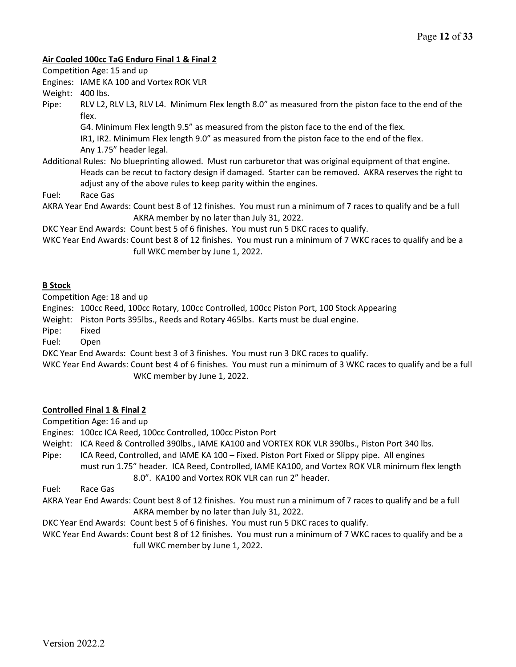#### **Air Cooled 100cc TaG Enduro Final 1 & Final 2**

Competition Age: 15 and up

Engines: IAME KA 100 and Vortex ROK VLR

Weight: 400 lbs.

Pipe: RLV L2, RLV L3, RLV L4. Minimum Flex length 8.0" as measured from the piston face to the end of the flex.

G4. Minimum Flex length 9.5" as measured from the piston face to the end of the flex.

IR1, IR2. Minimum Flex length 9.0" as measured from the piston face to the end of the flex.

Any 1.75" header legal.

Additional Rules: No blueprinting allowed. Must run carburetor that was original equipment of that engine. Heads can be recut to factory design if damaged. Starter can be removed. AKRA reserves the right to adjust any of the above rules to keep parity within the engines.

Fuel: Race Gas

AKRA Year End Awards: Count best 8 of 12 finishes. You must run a minimum of 7 races to qualify and be a full AKRA member by no later than July 31, 2022.

DKC Year End Awards: Count best 5 of 6 finishes. You must run 5 DKC races to qualify.

WKC Year End Awards: Count best 8 of 12 finishes. You must run a minimum of 7 WKC races to qualify and be a full WKC member by June 1, 2022.

## **B Stock**

Competition Age: 18 and up

Engines: 100cc Reed, 100cc Rotary, 100cc Controlled, 100cc Piston Port, 100 Stock Appearing

Weight: Piston Ports 395lbs., Reeds and Rotary 465lbs. Karts must be dual engine.

Pipe: Fixed

Fuel: Open

DKC Year End Awards: Count best 3 of 3 finishes. You must run 3 DKC races to qualify.

WKC Year End Awards: Count best 4 of 6 finishes. You must run a minimum of 3 WKC races to qualify and be a full WKC member by June 1, 2022.

# **Controlled Final 1 & Final 2**

Competition Age: 16 and up

Engines: 100cc ICA Reed, 100cc Controlled, 100cc Piston Port

- Weight: ICA Reed & Controlled 390lbs., IAME KA100 and VORTEX ROK VLR 390lbs., Piston Port 340 lbs.
- Pipe: ICA Reed, Controlled, and IAME KA 100 Fixed. Piston Port Fixed or Slippy pipe. All engines must run 1.75" header. ICA Reed, Controlled, IAME KA100, and Vortex ROK VLR minimum flex length
	- 8.0". KA100 and Vortex ROK VLR can run 2" header.

Fuel: Race Gas

AKRA Year End Awards: Count best 8 of 12 finishes. You must run a minimum of 7 races to qualify and be a full AKRA member by no later than July 31, 2022.

DKC Year End Awards: Count best 5 of 6 finishes. You must run 5 DKC races to qualify.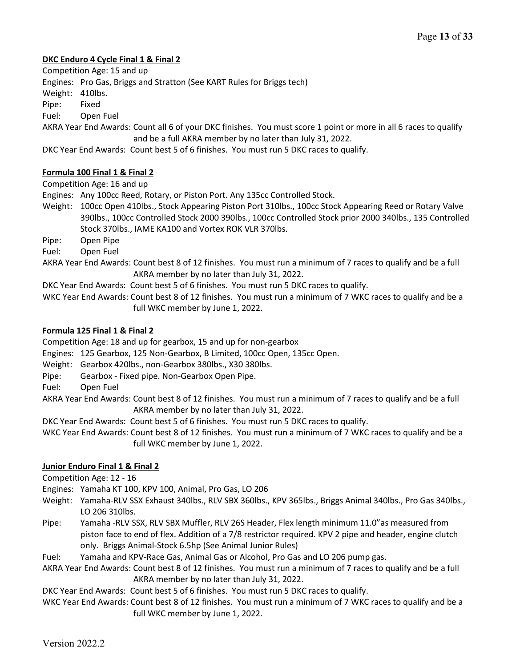## **DKC Enduro 4 Cycle Final 1 & Final 2**

Competition Age: 15 and up

Engines: Pro Gas, Briggs and Stratton (See KART Rules for Briggs tech)

Weight: 410lbs.

Pipe: Fixed

Fuel: Open Fuel

AKRA Year End Awards: Count all 6 of your DKC finishes. You must score 1 point or more in all 6 races to qualify and be a full AKRA member by no later than July 31, 2022.

DKC Year End Awards: Count best 5 of 6 finishes. You must run 5 DKC races to qualify.

# **Formula 100 Final 1 & Final 2**

Competition Age: 16 and up

Engines: Any 100cc Reed, Rotary, or Piston Port. Any 135cc Controlled Stock.

Weight: 100cc Open 410lbs., Stock Appearing Piston Port 310lbs., 100cc Stock Appearing Reed or Rotary Valve 390lbs., 100cc Controlled Stock 2000 390lbs., 100cc Controlled Stock prior 2000 340lbs., 135 Controlled Stock 370lbs., IAME KA100 and Vortex ROK VLR 370lbs.

Pipe: Open Pipe

Fuel: Open Fuel

AKRA Year End Awards: Count best 8 of 12 finishes. You must run a minimum of 7 races to qualify and be a full AKRA member by no later than July 31, 2022.

DKC Year End Awards: Count best 5 of 6 finishes. You must run 5 DKC races to qualify.

WKC Year End Awards: Count best 8 of 12 finishes. You must run a minimum of 7 WKC races to qualify and be a full WKC member by June 1, 2022.

## **Formula 125 Final 1 & Final 2**

Competition Age: 18 and up for gearbox, 15 and up for non-gearbox

Engines: 125 Gearbox, 125 Non-Gearbox, B Limited, 100cc Open, 135cc Open.

Weight: Gearbox 420lbs., non-Gearbox 380lbs., X30 380lbs.

Pipe: Gearbox - Fixed pipe. Non-Gearbox Open Pipe.

Fuel: Open Fuel

AKRA Year End Awards: Count best 8 of 12 finishes. You must run a minimum of 7 races to qualify and be a full AKRA member by no later than July 31, 2022.

DKC Year End Awards: Count best 5 of 6 finishes. You must run 5 DKC races to qualify.

WKC Year End Awards: Count best 8 of 12 finishes. You must run a minimum of 7 WKC races to qualify and be a full WKC member by June 1, 2022.

# **Junior Enduro Final 1 & Final 2**

Competition Age: 12 - 16

Engines: Yamaha KT 100, KPV 100, Animal, Pro Gas, LO 206

- Weight: Yamaha-RLV SSX Exhaust 340lbs., RLV SBX 360lbs., KPV 365lbs., Briggs Animal 340lbs., Pro Gas 340lbs., LO 206 310lbs.
- Pipe: Yamaha -RLV SSX, RLV SBX Muffler, RLV 26S Header, Flex length minimum 11.0"as measured from piston face to end of flex. Addition of a 7/8 restrictor required. KPV 2 pipe and header, engine clutch only. Briggs Animal-Stock 6.5hp (See Animal Junior Rules)

Fuel: Yamaha and KPV-Race Gas, Animal Gas or Alcohol, Pro Gas and LO 206 pump gas.

AKRA Year End Awards: Count best 8 of 12 finishes. You must run a minimum of 7 races to qualify and be a full AKRA member by no later than July 31, 2022.

DKC Year End Awards: Count best 5 of 6 finishes. You must run 5 DKC races to qualify.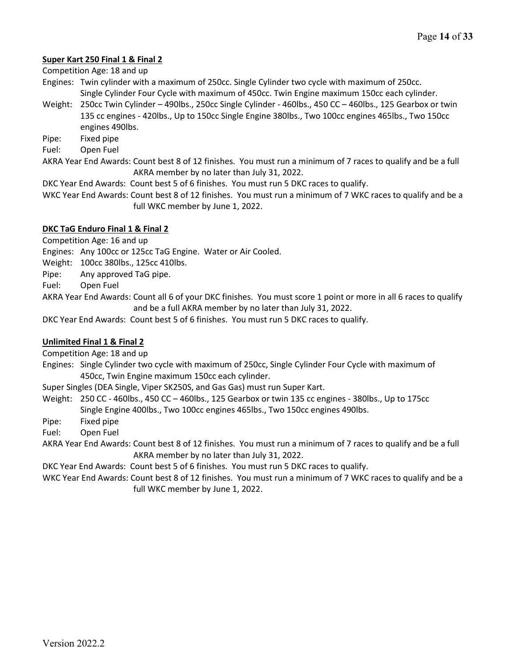## **Super Kart 250 Final 1 & Final 2**

Competition Age: 18 and up

Engines: Twin cylinder with a maximum of 250cc. Single Cylinder two cycle with maximum of 250cc. Single Cylinder Four Cycle with maximum of 450cc. Twin Engine maximum 150cc each cylinder.

- Weight: 250cc Twin Cylinder 490lbs., 250cc Single Cylinder 460lbs., 450 CC 460lbs., 125 Gearbox or twin 135 cc engines - 420lbs., Up to 150cc Single Engine 380lbs., Two 100cc engines 465lbs., Two 150cc engines 490lbs.
- Pipe: Fixed pipe
- Fuel: Open Fuel

AKRA Year End Awards: Count best 8 of 12 finishes. You must run a minimum of 7 races to qualify and be a full AKRA member by no later than July 31, 2022.

DKC Year End Awards: Count best 5 of 6 finishes. You must run 5 DKC races to qualify.

WKC Year End Awards: Count best 8 of 12 finishes. You must run a minimum of 7 WKC races to qualify and be a full WKC member by June 1, 2022.

## **DKC TaG Enduro Final 1 & Final 2**

Competition Age: 16 and up

Engines: Any 100cc or 125cc TaG Engine. Water or Air Cooled.

Weight: 100cc 380lbs., 125cc 410lbs.

Pipe: Any approved TaG pipe.

Fuel: Open Fuel

AKRA Year End Awards: Count all 6 of your DKC finishes. You must score 1 point or more in all 6 races to qualify and be a full AKRA member by no later than July 31, 2022.

DKC Year End Awards: Count best 5 of 6 finishes. You must run 5 DKC races to qualify.

#### **Unlimited Final 1 & Final 2**

Competition Age: 18 and up

Engines: Single Cylinder two cycle with maximum of 250cc, Single Cylinder Four Cycle with maximum of 450cc, Twin Engine maximum 150cc each cylinder.

Super Singles (DEA Single, Viper SK250S, and Gas Gas) must run Super Kart.

Weight: 250 CC - 460lbs., 450 CC – 460lbs., 125 Gearbox or twin 135 cc engines - 380lbs., Up to 175cc Single Engine 400lbs., Two 100cc engines 465lbs., Two 150cc engines 490lbs.

Pipe: Fixed pipe

Fuel: Open Fuel

AKRA Year End Awards: Count best 8 of 12 finishes. You must run a minimum of 7 races to qualify and be a full AKRA member by no later than July 31, 2022.

DKC Year End Awards: Count best 5 of 6 finishes. You must run 5 DKC races to qualify.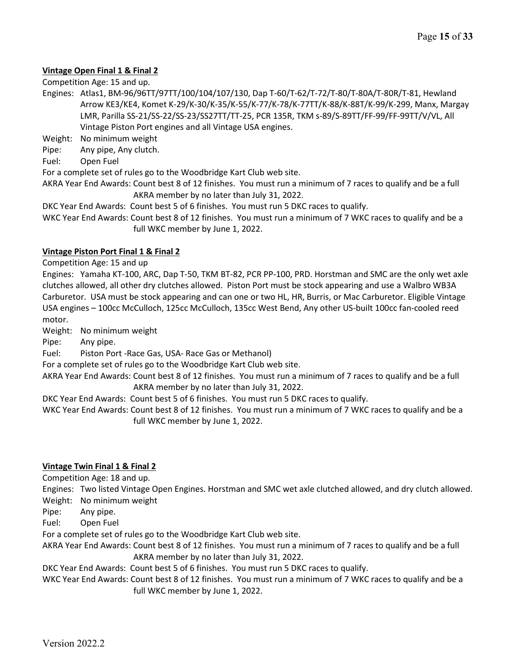# **Vintage Open Final 1 & Final 2**

Competition Age: 15 and up.

Engines: Atlas1, BM-96/96TT/97TT/100/104/107/130, Dap T-60/T-62/T-72/T-80/T-80A/T-80R/T-81, Hewland Arrow KE3/KE4, Komet K-29/K-30/K-35/K-55/K-77/K-78/K-77TT/K-88/K-88T/K-99/K-299, Manx, Margay LMR, Parilla SS-21/SS-22/SS-23/SS27TT/TT-25, PCR 135R, TKM s-89/S-89TT/FF-99/FF-99TT/V/VL, All Vintage Piston Port engines and all Vintage USA engines.

Weight: No minimum weight

- Pipe: Any pipe, Any clutch.
- Fuel: Open Fuel

For a complete set of rules go to the Woodbridge Kart Club web site.

AKRA Year End Awards: Count best 8 of 12 finishes. You must run a minimum of 7 races to qualify and be a full AKRA member by no later than July 31, 2022.

DKC Year End Awards: Count best 5 of 6 finishes. You must run 5 DKC races to qualify.

WKC Year End Awards: Count best 8 of 12 finishes. You must run a minimum of 7 WKC races to qualify and be a full WKC member by June 1, 2022.

#### **Vintage Piston Port Final 1 & Final 2**

Competition Age: 15 and up

Engines: Yamaha KT-100, ARC, Dap T-50, TKM BT-82, PCR PP-100, PRD. Horstman and SMC are the only wet axle clutches allowed, all other dry clutches allowed. Piston Port must be stock appearing and use a Walbro WB3A Carburetor. USA must be stock appearing and can one or two HL, HR, Burris, or Mac Carburetor. Eligible Vintage USA engines – 100cc McCulloch, 125cc McCulloch, 135cc West Bend, Any other US-built 100cc fan-cooled reed motor.

Weight: No minimum weight

Pipe: Any pipe.

Fuel: Piston Port -Race Gas, USA- Race Gas or Methanol)

For a complete set of rules go to the Woodbridge Kart Club web site.

AKRA Year End Awards: Count best 8 of 12 finishes. You must run a minimum of 7 races to qualify and be a full AKRA member by no later than July 31, 2022.

DKC Year End Awards: Count best 5 of 6 finishes. You must run 5 DKC races to qualify.

WKC Year End Awards: Count best 8 of 12 finishes. You must run a minimum of 7 WKC races to qualify and be a full WKC member by June 1, 2022.

#### **Vintage Twin Final 1 & Final 2**

Competition Age: 18 and up.

Engines: Two listed Vintage Open Engines. Horstman and SMC wet axle clutched allowed, and dry clutch allowed. Weight: No minimum weight

Pipe: Any pipe.

Fuel: Open Fuel

For a complete set of rules go to the Woodbridge Kart Club web site.

AKRA Year End Awards: Count best 8 of 12 finishes. You must run a minimum of 7 races to qualify and be a full AKRA member by no later than July 31, 2022.

DKC Year End Awards: Count best 5 of 6 finishes. You must run 5 DKC races to qualify.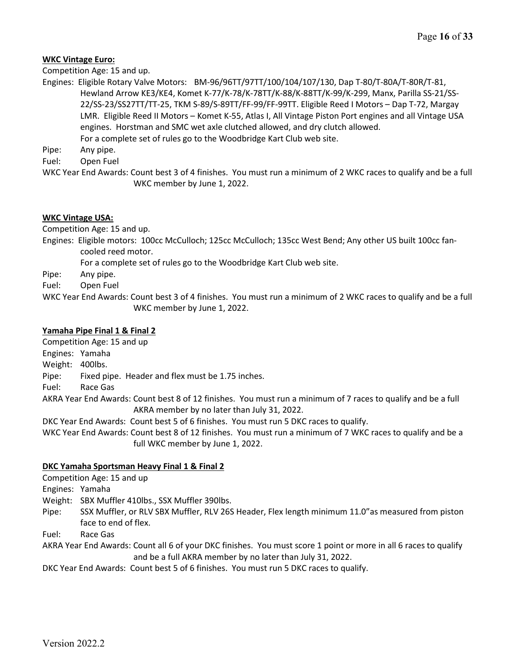## **WKC Vintage Euro:**

Competition Age: 15 and up.

Engines: Eligible Rotary Valve Motors: BM-96/96TT/97TT/100/104/107/130, Dap T-80/T-80A/T-80R/T-81, Hewland Arrow KE3/KE4, Komet K-77/K-78/K-78TT/K-88/K-88TT/K-99/K-299, Manx, Parilla SS-21/SS-22/SS-23/SS27TT/TT-25, TKM S-89/S-89TT/FF-99/FF-99TT. Eligible Reed I Motors – Dap T-72, Margay LMR. Eligible Reed II Motors – Komet K-55, Atlas I, All Vintage Piston Port engines and all Vintage USA engines. Horstman and SMC wet axle clutched allowed, and dry clutch allowed.

For a complete set of rules go to the Woodbridge Kart Club web site.

Pipe: Any pipe.

Fuel: Open Fuel

WKC Year End Awards: Count best 3 of 4 finishes. You must run a minimum of 2 WKC races to qualify and be a full WKC member by June 1, 2022.

## **WKC Vintage USA:**

Competition Age: 15 and up.

- Engines: Eligible motors: 100cc McCulloch; 125cc McCulloch; 135cc West Bend; Any other US built 100cc fancooled reed motor.
	- For a complete set of rules go to the Woodbridge Kart Club web site.

Pipe: Any pipe.

Fuel: Open Fuel

WKC Year End Awards: Count best 3 of 4 finishes. You must run a minimum of 2 WKC races to qualify and be a full WKC member by June 1, 2022.

## **Yamaha Pipe Final 1 & Final 2**

Competition Age: 15 and up

Engines: Yamaha

Weight: 400lbs.

Pipe: Fixed pipe. Header and flex must be 1.75 inches.

Fuel: Race Gas

AKRA Year End Awards: Count best 8 of 12 finishes. You must run a minimum of 7 races to qualify and be a full AKRA member by no later than July 31, 2022.

DKC Year End Awards: Count best 5 of 6 finishes. You must run 5 DKC races to qualify.

WKC Year End Awards: Count best 8 of 12 finishes. You must run a minimum of 7 WKC races to qualify and be a full WKC member by June 1, 2022.

#### **DKC Yamaha Sportsman Heavy Final 1 & Final 2**

Competition Age: 15 and up

Engines: Yamaha

Weight: SBX Muffler 410lbs., SSX Muffler 390lbs.

Pipe: SSX Muffler, or RLV SBX Muffler, RLV 26S Header, Flex length minimum 11.0"as measured from piston face to end of flex.

Fuel: Race Gas

AKRA Year End Awards: Count all 6 of your DKC finishes. You must score 1 point or more in all 6 races to qualify and be a full AKRA member by no later than July 31, 2022.

DKC Year End Awards: Count best 5 of 6 finishes. You must run 5 DKC races to qualify.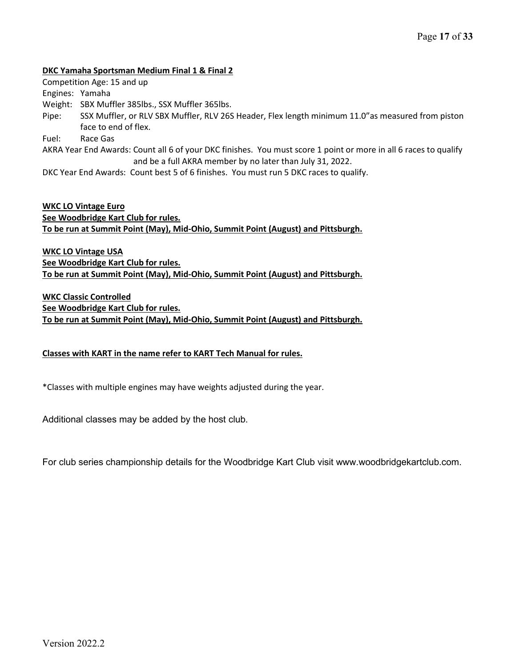#### **DKC Yamaha Sportsman Medium Final 1 & Final 2**

Competition Age: 15 and up

Engines: Yamaha

Weight: SBX Muffler 385lbs., SSX Muffler 365lbs.

Pipe: SSX Muffler, or RLV SBX Muffler, RLV 26S Header, Flex length minimum 11.0"as measured from piston face to end of flex.

Fuel: Race Gas

AKRA Year End Awards: Count all 6 of your DKC finishes. You must score 1 point or more in all 6 races to qualify and be a full AKRA member by no later than July 31, 2022.

DKC Year End Awards: Count best 5 of 6 finishes. You must run 5 DKC races to qualify.

**WKC LO Vintage Euro See Woodbridge Kart Club for rules. To be run at Summit Point (May), Mid-Ohio, Summit Point (August) and Pittsburgh.**

**WKC LO Vintage USA See Woodbridge Kart Club for rules. To be run at Summit Point (May), Mid-Ohio, Summit Point (August) and Pittsburgh.**

**WKC Classic Controlled See Woodbridge Kart Club for rules. To be run at Summit Point (May), Mid-Ohio, Summit Point (August) and Pittsburgh.**

# **Classes with KART in the name refer to KART Tech Manual for rules.**

\*Classes with multiple engines may have weights adjusted during the year.

Additional classes may be added by the host club.

For club series championship details for the Woodbridge Kart Club visit www.woodbridgekartclub.com.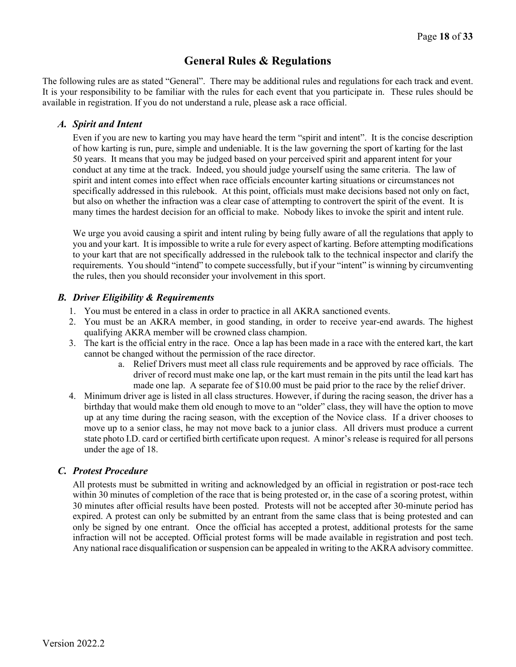# **General Rules & Regulations**

The following rules are as stated "General". There may be additional rules and regulations for each track and event. It is your responsibility to be familiar with the rules for each event that you participate in. These rules should be available in registration. If you do not understand a rule, please ask a race official.

# *A. Spirit and Intent*

Even if you are new to karting you may have heard the term "spirit and intent". It is the concise description of how karting is run, pure, simple and undeniable. It is the law governing the sport of karting for the last 50 years. It means that you may be judged based on your perceived spirit and apparent intent for your conduct at any time at the track. Indeed, you should judge yourself using the same criteria. The law of spirit and intent comes into effect when race officials encounter karting situations or circumstances not specifically addressed in this rulebook. At this point, officials must make decisions based not only on fact, but also on whether the infraction was a clear case of attempting to controvert the spirit of the event. It is many times the hardest decision for an official to make. Nobody likes to invoke the spirit and intent rule.

We urge you avoid causing a spirit and intent ruling by being fully aware of all the regulations that apply to you and your kart. It is impossible to write a rule for every aspect of karting. Before attempting modifications to your kart that are not specifically addressed in the rulebook talk to the technical inspector and clarify the requirements. You should "intend" to compete successfully, but if your "intent" is winning by circumventing the rules, then you should reconsider your involvement in this sport.

# *B. Driver Eligibility & Requirements*

- 1. You must be entered in a class in order to practice in all AKRA sanctioned events.
- 2. You must be an AKRA member, in good standing, in order to receive year-end awards. The highest qualifying AKRA member will be crowned class champion.
- 3. The kart is the official entry in the race. Once a lap has been made in a race with the entered kart, the kart cannot be changed without the permission of the race director.
	- a. Relief Drivers must meet all class rule requirements and be approved by race officials. The driver of record must make one lap, or the kart must remain in the pits until the lead kart has made one lap. A separate fee of \$10.00 must be paid prior to the race by the relief driver.
- 4. Minimum driver age is listed in all class structures. However, if during the racing season, the driver has a birthday that would make them old enough to move to an "older" class, they will have the option to move up at any time during the racing season, with the exception of the Novice class. If a driver chooses to move up to a senior class, he may not move back to a junior class. All drivers must produce a current state photo I.D. card or certified birth certificate upon request. A minor's release is required for all persons under the age of 18.

# *C. Protest Procedure*

All protests must be submitted in writing and acknowledged by an official in registration or post-race tech within 30 minutes of completion of the race that is being protested or, in the case of a scoring protest, within 30 minutes after official results have been posted. Protests will not be accepted after 30-minute period has expired. A protest can only be submitted by an entrant from the same class that is being protested and can only be signed by one entrant. Once the official has accepted a protest, additional protests for the same infraction will not be accepted. Official protest forms will be made available in registration and post tech. Any national race disqualification or suspension can be appealed in writing to the AKRA advisory committee.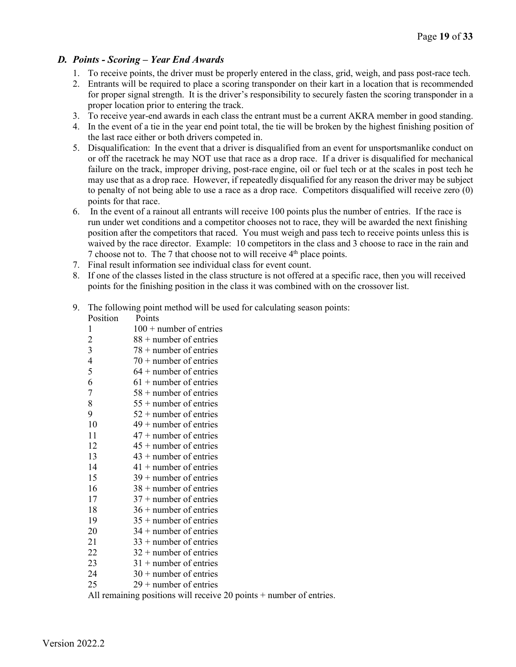# *D. Points - Scoring – Year End Awards*

- 1. To receive points, the driver must be properly entered in the class, grid, weigh, and pass post-race tech.
- 2. Entrants will be required to place a scoring transponder on their kart in a location that is recommended for proper signal strength. It is the driver's responsibility to securely fasten the scoring transponder in a proper location prior to entering the track.
- 3. To receive year-end awards in each class the entrant must be a current AKRA member in good standing.
- 4. In the event of a tie in the year end point total, the tie will be broken by the highest finishing position of the last race either or both drivers competed in.
- 5. Disqualification: In the event that a driver is disqualified from an event for unsportsmanlike conduct on or off the racetrack he may NOT use that race as a drop race. If a driver is disqualified for mechanical failure on the track, improper driving, post-race engine, oil or fuel tech or at the scales in post tech he may use that as a drop race. However, if repeatedly disqualified for any reason the driver may be subject to penalty of not being able to use a race as a drop race. Competitors disqualified will receive zero (0) points for that race.
- 6. In the event of a rainout all entrants will receive 100 points plus the number of entries. If the race is run under wet conditions and a competitor chooses not to race, they will be awarded the next finishing position after the competitors that raced. You must weigh and pass tech to receive points unless this is waived by the race director. Example: 10 competitors in the class and 3 choose to race in the rain and 7 choose not to. The 7 that choose not to will receive 4th place points.
- 7. Final result information see individual class for event count.
- 8. If one of the classes listed in the class structure is not offered at a specific race, then you will received points for the finishing position in the class it was combined with on the crossover list.
- 9. The following point method will be used for calculating season points:
	- Position Points

| $\mathbf{1}$   | $100 +$ number of entries |
|----------------|---------------------------|
| $\overline{c}$ | $88 +$ number of entries  |
| 3              | $78 +$ number of entries  |
| $\overline{4}$ | $70 +$ number of entries  |
| 5              | $64 +$ number of entries  |
| 6              | $61 +$ number of entries  |
| 7              | $58 +$ number of entries  |
| 8              | $55 +$ number of entries  |
| 9              | $52 +$ number of entries  |
| 10             | $49 +$ number of entries  |
| 11             | $47 +$ number of entries  |
| 12             | $45 +$ number of entries  |
| 13             | $43 +$ number of entries  |
| 14             | $41 +$ number of entries  |
| 15             | $39 +$ number of entries  |
| 16             | $38 +$ number of entries  |
| 17             | $37 +$ number of entries  |
| 18             | $36 +$ number of entries  |
| 19             | $35 +$ number of entries  |
| 20             | $34 +$ number of entries  |
| 21             | $33 +$ number of entries  |
| 22             | $32 +$ number of entries  |
| 23             | $31 +$ number of entries  |
| 24             | $30 +$ number of entries  |
| 25             | $29 +$ number of entries  |

All remaining positions will receive 20 points + number of entries.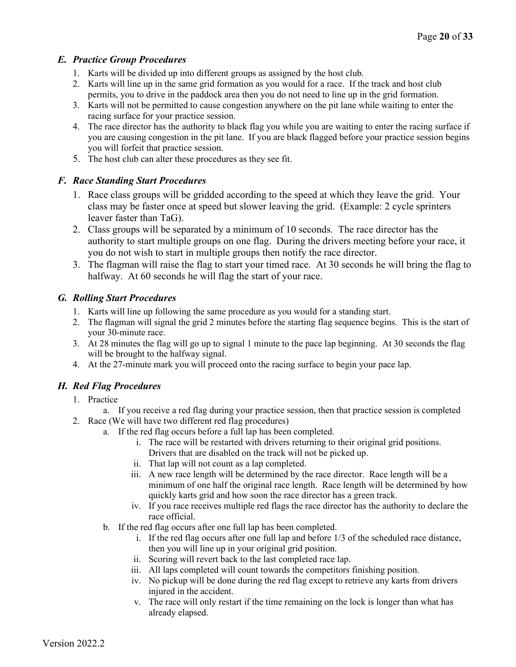# *E. Practice Group Procedures*

- 1. Karts will be divided up into different groups as assigned by the host club.
- 2. Karts will line up in the same grid formation as you would for a race. If the track and host club permits, you to drive in the paddock area then you do not need to line up in the grid formation.
- 3. Karts will not be permitted to cause congestion anywhere on the pit lane while waiting to enter the racing surface for your practice session.
- 4. The race director has the authority to black flag you while you are waiting to enter the racing surface if you are causing congestion in the pit lane. If you are black flagged before your practice session begins you will forfeit that practice session.
- 5. The host club can alter these procedures as they see fit.

# *F. Race Standing Start Procedures*

- 1. Race class groups will be gridded according to the speed at which they leave the grid. Your class may be faster once at speed but slower leaving the grid. (Example: 2 cycle sprinters leaver faster than TaG).
- 2. Class groups will be separated by a minimum of 10 seconds. The race director has the authority to start multiple groups on one flag. During the drivers meeting before your race, it you do not wish to start in multiple groups then notify the race director.
- 3. The flagman will raise the flag to start your timed race. At 30 seconds he will bring the flag to halfway. At 60 seconds he will flag the start of your race.

# *G. Rolling Start Procedures*

- 1. Karts will line up following the same procedure as you would for a standing start.
- 2. The flagman will signal the grid 2 minutes before the starting flag sequence begins. This is the start of your 30-minute race.
- 3. At 28 minutes the flag will go up to signal 1 minute to the pace lap beginning. At 30 seconds the flag will be brought to the halfway signal.
- 4. At the 27-minute mark you will proceed onto the racing surface to begin your pace lap.

# *H. Red Flag Procedures*

- 1. Practice
	- a. If you receive a red flag during your practice session, then that practice session is completed
- 2. Race (We will have two different red flag procedures)
	- a. If the red flag occurs before a full lap has been completed.
		- i. The race will be restarted with drivers returning to their original grid positions. Drivers that are disabled on the track will not be picked up.
		- ii. That lap will not count as a lap completed.
		- iii. A new race length will be determined by the race director. Race length will be a minimum of one half the original race length. Race length will be determined by how quickly karts grid and how soon the race director has a green track.
		- iv. If you race receives multiple red flags the race director has the authority to declare the race official.
	- b. If the red flag occurs after one full lap has been completed.
		- i. If the red flag occurs after one full lap and before 1/3 of the scheduled race distance, then you will line up in your original grid position.
		- ii. Scoring will revert back to the last completed race lap.
		- iii. All laps completed will count towards the competitors finishing position.
		- iv. No pickup will be done during the red flag except to retrieve any karts from drivers injured in the accident.
		- v. The race will only restart if the time remaining on the lock is longer than what has already elapsed.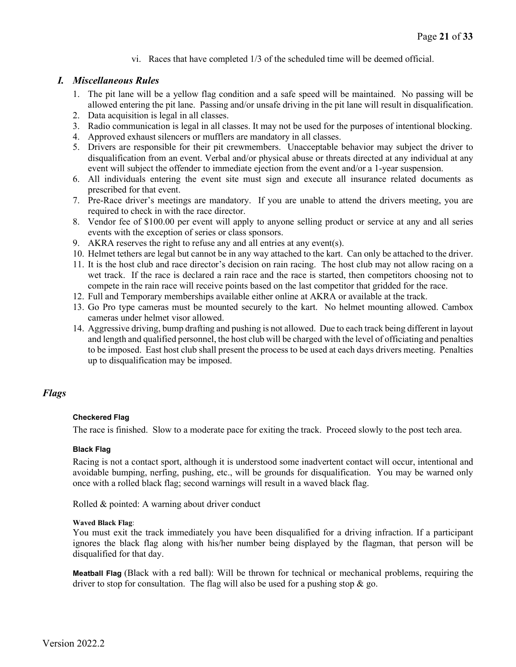vi. Races that have completed 1/3 of the scheduled time will be deemed official.

## *I. Miscellaneous Rules*

- 1. The pit lane will be a yellow flag condition and a safe speed will be maintained. No passing will be allowed entering the pit lane. Passing and/or unsafe driving in the pit lane will result in disqualification.
- 2. Data acquisition is legal in all classes.
- 3. Radio communication is legal in all classes. It may not be used for the purposes of intentional blocking.
- 4. Approved exhaust silencers or mufflers are mandatory in all classes.
- 5. Drivers are responsible for their pit crewmembers. Unacceptable behavior may subject the driver to disqualification from an event. Verbal and/or physical abuse or threats directed at any individual at any event will subject the offender to immediate ejection from the event and/or a 1-year suspension.
- 6. All individuals entering the event site must sign and execute all insurance related documents as prescribed for that event.
- 7. Pre-Race driver's meetings are mandatory. If you are unable to attend the drivers meeting, you are required to check in with the race director.
- 8. Vendor fee of \$100.00 per event will apply to anyone selling product or service at any and all series events with the exception of series or class sponsors.
- 9. AKRA reserves the right to refuse any and all entries at any event(s).
- 10. Helmet tethers are legal but cannot be in any way attached to the kart. Can only be attached to the driver.
- 11. It is the host club and race director's decision on rain racing. The host club may not allow racing on a wet track. If the race is declared a rain race and the race is started, then competitors choosing not to compete in the rain race will receive points based on the last competitor that gridded for the race.
- 12. Full and Temporary memberships available either online at AKRA or available at the track.
- 13. Go Pro type cameras must be mounted securely to the kart. No helmet mounting allowed. Cambox cameras under helmet visor allowed.
- 14. Aggressive driving, bump drafting and pushing is not allowed. Due to each track being different in layout and length and qualified personnel, the host club will be charged with the level of officiating and penalties to be imposed. East host club shall present the process to be used at each days drivers meeting. Penalties up to disqualification may be imposed.

# *Flags*

#### **Checkered Flag**

The race is finished. Slow to a moderate pace for exiting the track. Proceed slowly to the post tech area.

#### **Black Flag**

Racing is not a contact sport, although it is understood some inadvertent contact will occur, intentional and avoidable bumping, nerfing, pushing, etc., will be grounds for disqualification. You may be warned only once with a rolled black flag; second warnings will result in a waved black flag.

Rolled & pointed: A warning about driver conduct

#### **Waved Black Flag**:

You must exit the track immediately you have been disqualified for a driving infraction. If a participant ignores the black flag along with his/her number being displayed by the flagman, that person will be disqualified for that day.

**Meatball Flag** (Black with a red ball): Will be thrown for technical or mechanical problems, requiring the driver to stop for consultation. The flag will also be used for a pushing stop  $\&$  go.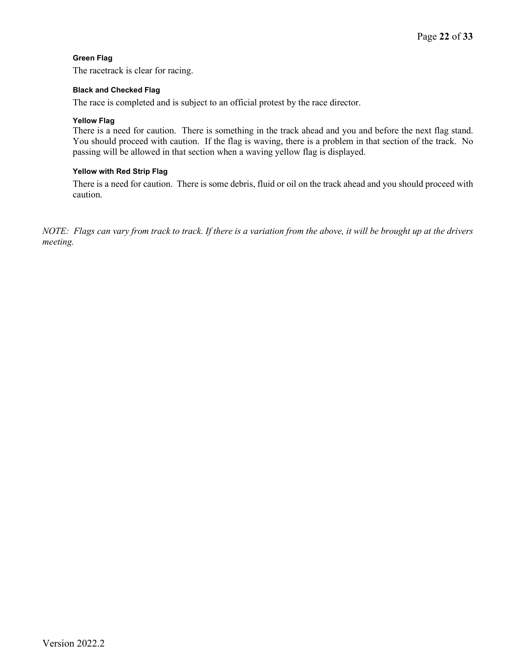### **Green Flag**

The racetrack is clear for racing.

#### **Black and Checked Flag**

The race is completed and is subject to an official protest by the race director.

#### **Yellow Flag**

There is a need for caution. There is something in the track ahead and you and before the next flag stand. You should proceed with caution. If the flag is waving, there is a problem in that section of the track. No passing will be allowed in that section when a waving yellow flag is displayed.

#### **Yellow with Red Strip Flag**

There is a need for caution. There is some debris, fluid or oil on the track ahead and you should proceed with caution.

*NOTE: Flags can vary from track to track. If there is a variation from the above, it will be brought up at the drivers meeting.*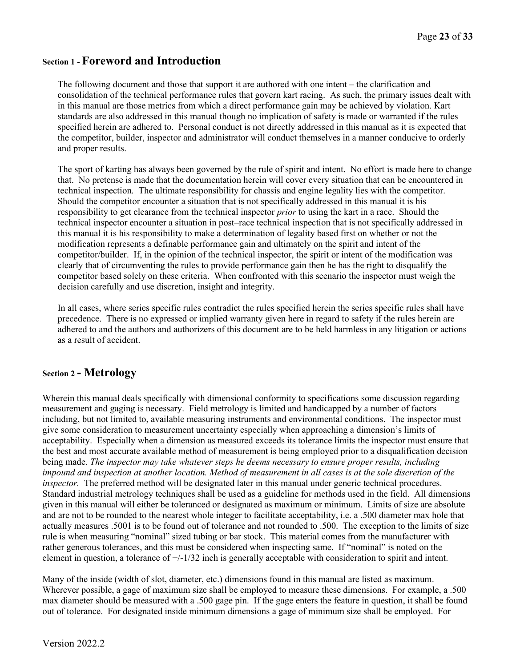# **Section 1 - Foreword and Introduction**

The following document and those that support it are authored with one intent – the clarification and consolidation of the technical performance rules that govern kart racing. As such, the primary issues dealt with in this manual are those metrics from which a direct performance gain may be achieved by violation. Kart standards are also addressed in this manual though no implication of safety is made or warranted if the rules specified herein are adhered to. Personal conduct is not directly addressed in this manual as it is expected that the competitor, builder, inspector and administrator will conduct themselves in a manner conducive to orderly and proper results.

The sport of karting has always been governed by the rule of spirit and intent. No effort is made here to change that. No pretense is made that the documentation herein will cover every situation that can be encountered in technical inspection. The ultimate responsibility for chassis and engine legality lies with the competitor. Should the competitor encounter a situation that is not specifically addressed in this manual it is his responsibility to get clearance from the technical inspector *prior* to using the kart in a race. Should the technical inspector encounter a situation in post–race technical inspection that is not specifically addressed in this manual it is his responsibility to make a determination of legality based first on whether or not the modification represents a definable performance gain and ultimately on the spirit and intent of the competitor/builder. If, in the opinion of the technical inspector, the spirit or intent of the modification was clearly that of circumventing the rules to provide performance gain then he has the right to disqualify the competitor based solely on these criteria. When confronted with this scenario the inspector must weigh the decision carefully and use discretion, insight and integrity.

In all cases, where series specific rules contradict the rules specified herein the series specific rules shall have precedence. There is no expressed or implied warranty given here in regard to safety if the rules herein are adhered to and the authors and authorizers of this document are to be held harmless in any litigation or actions as a result of accident.

# **Section 2 - Metrology**

Wherein this manual deals specifically with dimensional conformity to specifications some discussion regarding measurement and gaging is necessary. Field metrology is limited and handicapped by a number of factors including, but not limited to, available measuring instruments and environmental conditions. The inspector must give some consideration to measurement uncertainty especially when approaching a dimension's limits of acceptability. Especially when a dimension as measured exceeds its tolerance limits the inspector must ensure that the best and most accurate available method of measurement is being employed prior to a disqualification decision being made. *The inspector may take whatever steps he deems necessary to ensure proper results, including impound and inspection at another location. Method of measurement in all cases is at the sole discretion of the inspector.* The preferred method will be designated later in this manual under generic technical procedures. Standard industrial metrology techniques shall be used as a guideline for methods used in the field. All dimensions given in this manual will either be toleranced or designated as maximum or minimum. Limits of size are absolute and are not to be rounded to the nearest whole integer to facilitate acceptability, i.e. a .500 diameter max hole that actually measures .5001 is to be found out of tolerance and not rounded to .500. The exception to the limits of size rule is when measuring "nominal" sized tubing or bar stock. This material comes from the manufacturer with rather generous tolerances, and this must be considered when inspecting same. If "nominal" is noted on the element in question, a tolerance of  $+/-1/32$  inch is generally acceptable with consideration to spirit and intent.

Many of the inside (width of slot, diameter, etc.) dimensions found in this manual are listed as maximum. Wherever possible, a gage of maximum size shall be employed to measure these dimensions. For example, a .500 max diameter should be measured with a .500 gage pin. If the gage enters the feature in question, it shall be found out of tolerance. For designated inside minimum dimensions a gage of minimum size shall be employed. For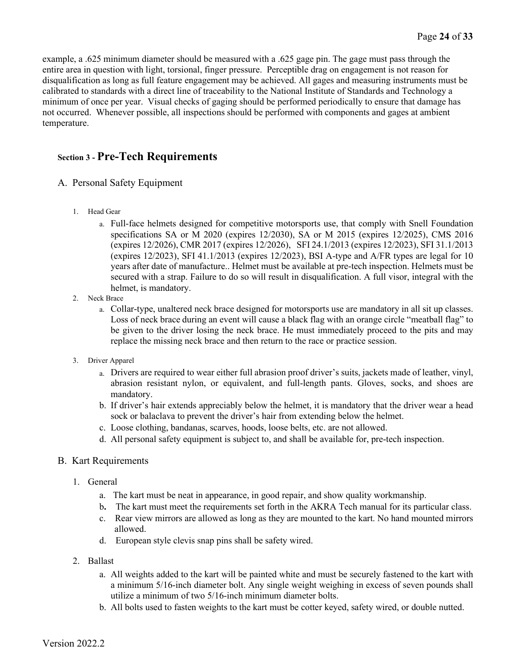example, a .625 minimum diameter should be measured with a .625 gage pin. The gage must pass through the entire area in question with light, torsional, finger pressure. Perceptible drag on engagement is not reason for disqualification as long as full feature engagement may be achieved. All gages and measuring instruments must be calibrated to standards with a direct line of traceability to the National Institute of Standards and Technology a minimum of once per year. Visual checks of gaging should be performed periodically to ensure that damage has not occurred. Whenever possible, all inspections should be performed with components and gages at ambient temperature.

# **Section 3 - Pre-Tech Requirements**

- A.Personal Safety Equipment
	- 1. Head Gear
		- a. Full-face helmets designed for competitive motorsports use, that comply with Snell Foundation specifications SA or M 2020 (expires 12/2030), SA or M 2015 (expires 12/2025), CMS 2016 (expires 12/2026), CMR 2017 (expires 12/2026), SFI 24.1/2013 (expires 12/2023), SFI 31.1/2013 (expires 12/2023), SFI 41.1/2013 (expires 12/2023), BSI A-type and A/FR types are legal for 10 years after date of manufacture.. Helmet must be available at pre-tech inspection. Helmets must be secured with a strap. Failure to do so will result in disqualification. A full visor, integral with the helmet, is mandatory.
	- 2. Neck Brace
		- a. Collar-type, unaltered neck brace designed for motorsports use are mandatory in all sit up classes. Loss of neck brace during an event will cause a black flag with an orange circle "meatball flag" to be given to the driver losing the neck brace. He must immediately proceed to the pits and may replace the missing neck brace and then return to the race or practice session.
	- 3. Driver Apparel
		- a. Drivers are required to wear either full abrasion proof driver's suits, jackets made of leather, vinyl, abrasion resistant nylon, or equivalent, and full-length pants. Gloves, socks, and shoes are mandatory.
		- b. If driver's hair extends appreciably below the helmet, it is mandatory that the driver wear a head sock or balaclava to prevent the driver's hair from extending below the helmet.
		- c. Loose clothing, bandanas, scarves, hoods, loose belts, etc. are not allowed.
		- d. All personal safety equipment is subject to, and shall be available for, pre-tech inspection.

# B. Kart Requirements

- 1. General
	- a. The kart must be neat in appearance, in good repair, and show quality workmanship.
	- b**.** The kart must meet the requirements set forth in the AKRA Tech manual for its particular class.
	- c.Rear view mirrors are allowed as long as they are mounted to the kart. No hand mounted mirrors allowed.
	- d. European style clevis snap pins shall be safety wired.
- 2. Ballast
	- a. All weights added to the kart will be painted white and must be securely fastened to the kart with a minimum 5/16-inch diameter bolt. Any single weight weighing in excess of seven pounds shall utilize a minimum of two 5/16-inch minimum diameter bolts.
	- b. All bolts used to fasten weights to the kart must be cotter keyed, safety wired, or double nutted.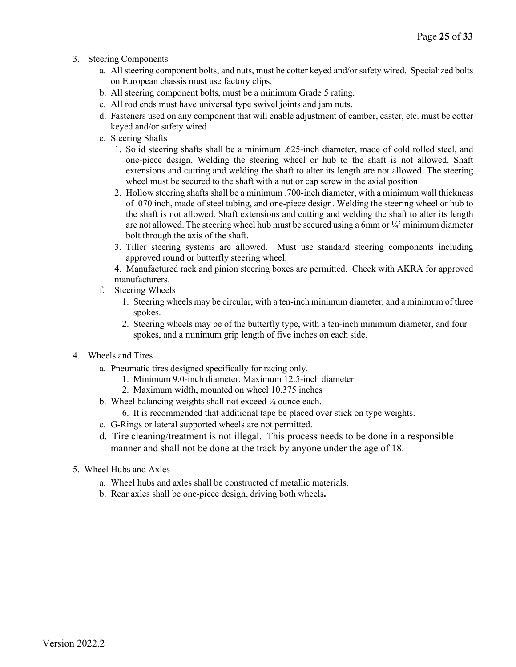- 3. Steering Components
	- a. All steering component bolts, and nuts, must be cotter keyed and/or safety wired. Specialized bolts on European chassis must use factory clips.
	- b. All steering component bolts, must be a minimum Grade 5 rating.
	- c. All rod ends must have universal type swivel joints and jam nuts.
	- d. Fasteners used on any component that will enable adjustment of camber, caster, etc. must be cotter keyed and/or safety wired.
	- e. Steering Shafts
		- 1. Solid steering shafts shall be a minimum .625-inch diameter, made of cold rolled steel, and one-piece design. Welding the steering wheel or hub to the shaft is not allowed. Shaft extensions and cutting and welding the shaft to alter its length are not allowed. The steering wheel must be secured to the shaft with a nut or cap screw in the axial position.
		- 2. Hollow steering shafts shall be a minimum .700-inch diameter, with a minimum wall thickness of .070 inch, made of steel tubing, and one-piece design. Welding the steering wheel or hub to the shaft is not allowed. Shaft extensions and cutting and welding the shaft to alter its length are not allowed. The steering wheel hub must be secured using a 6mm or  $\frac{1}{4}$  minimum diameter bolt through the axis of the shaft.
		- 3. Tiller steering systems are allowed. Must use standard steering components including approved round or butterfly steering wheel.
		- 4. Manufactured rack and pinion steering boxes are permitted. Check with AKRA for approved manufacturers.
	- f. Steering Wheels
		- 1. Steering wheels may be circular, with a ten-inch minimum diameter, and a minimum of three spokes.
		- 2. Steering wheels may be of the butterfly type, with a ten-inch minimum diameter, and four spokes, and a minimum grip length of five inches on each side.
- 4. Wheels and Tires
	- a. Pneumatic tires designed specifically for racing only.
		- 1. Minimum 9.0-inch diameter. Maximum 12.5-inch diameter.
		- 2. Maximum width, mounted on wheel 10.375 inches
	- b. Wheel balancing weights shall not exceed ¼ ounce each.
		- 6. It is recommended that additional tape be placed over stick on type weights.
	- c. G-Rings or lateral supported wheels are not permitted.
	- d. Tire cleaning/treatment is not illegal. This process needs to be done in a responsible manner and shall not be done at the track by anyone under the age of 18.
- 5. Wheel Hubs and Axles
	- a. Wheel hubs and axles shall be constructed of metallic materials.
	- b. Rear axles shall be one-piece design, driving both wheels**.**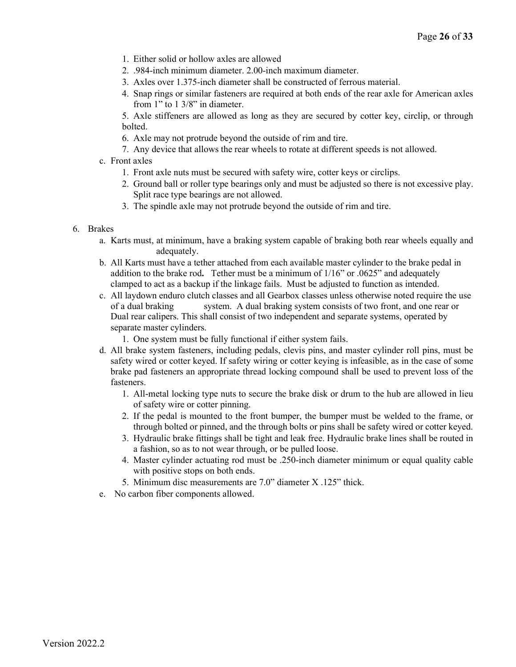- 1. Either solid or hollow axles are allowed
- 2. .984-inch minimum diameter. 2.00-inch maximum diameter.
- 3. Axles over 1.375-inch diameter shall be constructed of ferrous material.
- 4. Snap rings or similar fasteners are required at both ends of the rear axle for American axles from 1" to 1 3/8" in diameter.

5. Axle stiffeners are allowed as long as they are secured by cotter key, circlip, or through bolted.

- 6. Axle may not protrude beyond the outside of rim and tire.
- 7. Any device that allows the rear wheels to rotate at different speeds is not allowed.
- c. Front axles
	- 1. Front axle nuts must be secured with safety wire, cotter keys or circlips.
	- 2. Ground ball or roller type bearings only and must be adjusted so there is not excessive play. Split race type bearings are not allowed.
	- 3. The spindle axle may not protrude beyond the outside of rim and tire.

#### 6. Brakes

- a. Karts must, at minimum, have a braking system capable of braking both rear wheels equally and adequately.
- b. All Karts must have a tether attached from each available master cylinder to the brake pedal in addition to the brake rod**.** Tether must be a minimum of 1/16" or .0625" and adequately clamped to act as a backup if the linkage fails. Must be adjusted to function as intended.
- c. All laydown enduro clutch classes and all Gearbox classes unless otherwise noted require the use of a dual braking system. A dual braking system consists of two front, and one rear or Dual rear calipers. This shall consist of two independent and separate systems, operated by separate master cylinders.
	- 1. One system must be fully functional if either system fails.
- d. All brake system fasteners, including pedals, clevis pins, and master cylinder roll pins, must be safety wired or cotter keyed. If safety wiring or cotter keying is infeasible, as in the case of some brake pad fasteners an appropriate thread locking compound shall be used to prevent loss of the fasteners.
	- 1. All-metal locking type nuts to secure the brake disk or drum to the hub are allowed in lieu of safety wire or cotter pinning.
	- 2. If the pedal is mounted to the front bumper, the bumper must be welded to the frame, or through bolted or pinned, and the through bolts or pins shall be safety wired or cotter keyed.
	- 3. Hydraulic brake fittings shall be tight and leak free. Hydraulic brake lines shall be routed in a fashion, so as to not wear through, or be pulled loose.
	- 4. Master cylinder actuating rod must be .250-inch diameter minimum or equal quality cable with positive stops on both ends.
	- 5. Minimum disc measurements are 7.0" diameter X .125" thick.
- e. No carbon fiber components allowed.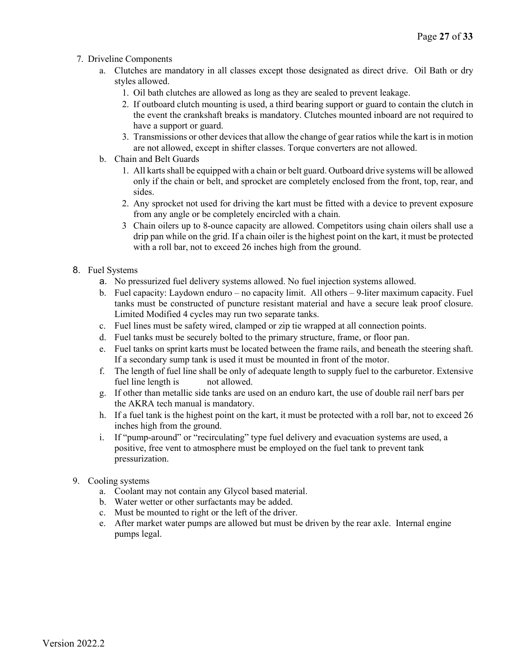- 7. Driveline Components
	- a. Clutches are mandatory in all classes except those designated as direct drive. Oil Bath or dry styles allowed.
		- 1. Oil bath clutches are allowed as long as they are sealed to prevent leakage.
		- 2. If outboard clutch mounting is used, a third bearing support or guard to contain the clutch in the event the crankshaft breaks is mandatory. Clutches mounted inboard are not required to have a support or guard.
		- 3. Transmissions or other devices that allow the change of gear ratios while the kart is in motion are not allowed, except in shifter classes. Torque converters are not allowed.
	- b. Chain and Belt Guards
		- 1. All karts shall be equipped with a chain or belt guard. Outboard drive systems will be allowed only if the chain or belt, and sprocket are completely enclosed from the front, top, rear, and sides.
		- 2. Any sprocket not used for driving the kart must be fitted with a device to prevent exposure from any angle or be completely encircled with a chain.
		- 3 Chain oilers up to 8-ounce capacity are allowed. Competitors using chain oilers shall use a drip pan while on the grid. If a chain oiler is the highest point on the kart, it must be protected with a roll bar, not to exceed 26 inches high from the ground.

## 8. Fuel Systems

- a. No pressurized fuel delivery systems allowed. No fuel injection systems allowed.
- b. Fuel capacity: Laydown enduro no capacity limit. All others 9-liter maximum capacity. Fuel tanks must be constructed of puncture resistant material and have a secure leak proof closure. Limited Modified 4 cycles may run two separate tanks.
- c. Fuel lines must be safety wired, clamped or zip tie wrapped at all connection points.
- d. Fuel tanks must be securely bolted to the primary structure, frame, or floor pan.
- e. Fuel tanks on sprint karts must be located between the frame rails, and beneath the steering shaft. If a secondary sump tank is used it must be mounted in front of the motor.
- f. The length of fuel line shall be only of adequate length to supply fuel to the carburetor. Extensive fuel line length is not allowed.
- g. If other than metallic side tanks are used on an enduro kart, the use of double rail nerf bars per the AKRA tech manual is mandatory.
- h. If a fuel tank is the highest point on the kart, it must be protected with a roll bar, not to exceed 26 inches high from the ground.
- i. If "pump-around" or "recirculating" type fuel delivery and evacuation systems are used, a positive, free vent to atmosphere must be employed on the fuel tank to prevent tank pressurization.
- 9. Cooling systems
	- a. Coolant may not contain any Glycol based material.
	- b. Water wetter or other surfactants may be added.
	- c. Must be mounted to right or the left of the driver.
	- e. After market water pumps are allowed but must be driven by the rear axle. Internal engine pumps legal.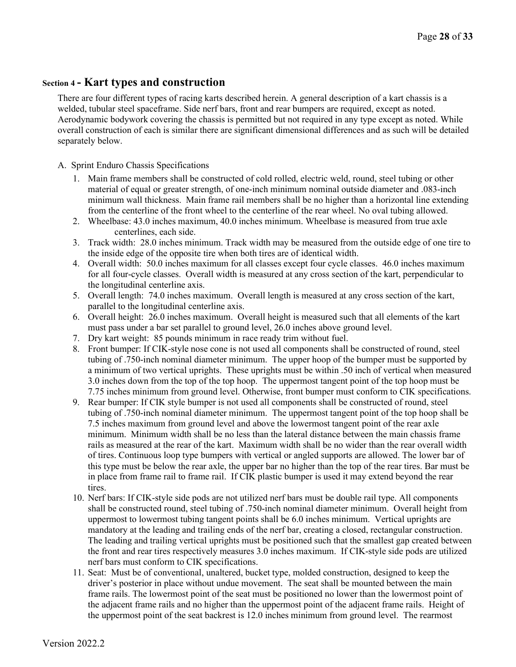# **Section 4 - Kart types and construction**

There are four different types of racing karts described herein. A general description of a kart chassis is a welded, tubular steel spaceframe. Side nerf bars, front and rear bumpers are required, except as noted. Aerodynamic bodywork covering the chassis is permitted but not required in any type except as noted. While overall construction of each is similar there are significant dimensional differences and as such will be detailed separately below.

#### A. Sprint Enduro Chassis Specifications

- 1. Main frame members shall be constructed of cold rolled, electric weld, round, steel tubing or other material of equal or greater strength, of one-inch minimum nominal outside diameter and .083-inch minimum wall thickness. Main frame rail members shall be no higher than a horizontal line extending from the centerline of the front wheel to the centerline of the rear wheel. No oval tubing allowed.
- 2. Wheelbase: 43.0 inches maximum, 40.0 inches minimum. Wheelbase is measured from true axle centerlines, each side.
- 3. Track width: 28.0 inches minimum. Track width may be measured from the outside edge of one tire to the inside edge of the opposite tire when both tires are of identical width.
- 4. Overall width: 50.0 inches maximum for all classes except four cycle classes. 46.0 inches maximum for all four-cycle classes. Overall width is measured at any cross section of the kart, perpendicular to the longitudinal centerline axis.
- 5. Overall length: 74.0 inches maximum. Overall length is measured at any cross section of the kart, parallel to the longitudinal centerline axis.
- 6. Overall height: 26.0 inches maximum. Overall height is measured such that all elements of the kart must pass under a bar set parallel to ground level, 26.0 inches above ground level.
- 7. Dry kart weight: 85 pounds minimum in race ready trim without fuel.
- 8. Front bumper: If CIK-style nose cone is not used all components shall be constructed of round, steel tubing of .750-inch nominal diameter minimum. The upper hoop of the bumper must be supported by a minimum of two vertical uprights. These uprights must be within .50 inch of vertical when measured 3.0 inches down from the top of the top hoop. The uppermost tangent point of the top hoop must be 7.75 inches minimum from ground level. Otherwise, front bumper must conform to CIK specifications.
- 9. Rear bumper: If CIK style bumper is not used all components shall be constructed of round, steel tubing of .750-inch nominal diameter minimum. The uppermost tangent point of the top hoop shall be 7.5 inches maximum from ground level and above the lowermost tangent point of the rear axle minimum. Minimum width shall be no less than the lateral distance between the main chassis frame rails as measured at the rear of the kart. Maximum width shall be no wider than the rear overall width of tires. Continuous loop type bumpers with vertical or angled supports are allowed. The lower bar of this type must be below the rear axle, the upper bar no higher than the top of the rear tires. Bar must be in place from frame rail to frame rail. If CIK plastic bumper is used it may extend beyond the rear tires.
- 10. Nerf bars: If CIK-style side pods are not utilized nerf bars must be double rail type. All components shall be constructed round, steel tubing of .750-inch nominal diameter minimum. Overall height from uppermost to lowermost tubing tangent points shall be 6.0 inches minimum. Vertical uprights are mandatory at the leading and trailing ends of the nerf bar, creating a closed, rectangular construction. The leading and trailing vertical uprights must be positioned such that the smallest gap created between the front and rear tires respectively measures 3.0 inches maximum. If CIK-style side pods are utilized nerf bars must conform to CIK specifications.
- 11. Seat: Must be of conventional, unaltered, bucket type, molded construction, designed to keep the driver's posterior in place without undue movement. The seat shall be mounted between the main frame rails. The lowermost point of the seat must be positioned no lower than the lowermost point of the adjacent frame rails and no higher than the uppermost point of the adjacent frame rails. Height of the uppermost point of the seat backrest is 12.0 inches minimum from ground level. The rearmost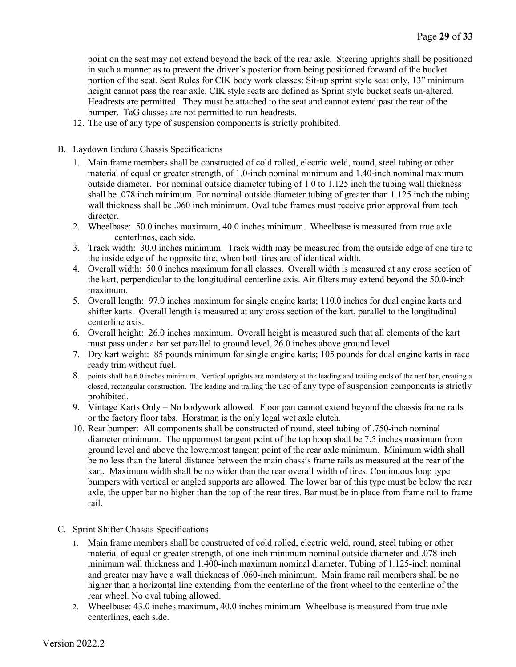point on the seat may not extend beyond the back of the rear axle. Steering uprights shall be positioned in such a manner as to prevent the driver's posterior from being positioned forward of the bucket portion of the seat. Seat Rules for CIK body work classes: Sit-up sprint style seat only, 13" minimum height cannot pass the rear axle, CIK style seats are defined as Sprint style bucket seats un-altered. Headrests are permitted. They must be attached to the seat and cannot extend past the rear of the bumper. TaG classes are not permitted to run headrests.

12. The use of any type of suspension components is strictly prohibited.

#### B. Laydown Enduro Chassis Specifications

- 1. Main frame members shall be constructed of cold rolled, electric weld, round, steel tubing or other material of equal or greater strength, of 1.0-inch nominal minimum and 1.40-inch nominal maximum outside diameter. For nominal outside diameter tubing of 1.0 to 1.125 inch the tubing wall thickness shall be .078 inch minimum. For nominal outside diameter tubing of greater than 1.125 inch the tubing wall thickness shall be .060 inch minimum. Oval tube frames must receive prior approval from tech director.
- 2. Wheelbase: 50.0 inches maximum, 40.0 inches minimum. Wheelbase is measured from true axle centerlines, each side.
- 3. Track width: 30.0 inches minimum. Track width may be measured from the outside edge of one tire to the inside edge of the opposite tire, when both tires are of identical width.
- 4. Overall width: 50.0 inches maximum for all classes. Overall width is measured at any cross section of the kart, perpendicular to the longitudinal centerline axis. Air filters may extend beyond the 50.0-inch maximum.
- 5. Overall length: 97.0 inches maximum for single engine karts; 110.0 inches for dual engine karts and shifter karts. Overall length is measured at any cross section of the kart, parallel to the longitudinal centerline axis.
- 6. Overall height: 26.0 inches maximum. Overall height is measured such that all elements of the kart must pass under a bar set parallel to ground level, 26.0 inches above ground level.
- 7. Dry kart weight: 85 pounds minimum for single engine karts; 105 pounds for dual engine karts in race ready trim without fuel.
- 8. points shall be 6.0 inches minimum. Vertical uprights are mandatory at the leading and trailing ends of the nerf bar, creating a closed, rectangular construction. The leading and trailing the use of any type of suspension components is strictly prohibited.
- 9. Vintage Karts Only No bodywork allowed. Floor pan cannot extend beyond the chassis frame rails or the factory floor tabs. Horstman is the only legal wet axle clutch.
- 10. Rear bumper: All components shall be constructed of round, steel tubing of .750-inch nominal diameter minimum. The uppermost tangent point of the top hoop shall be 7.5 inches maximum from ground level and above the lowermost tangent point of the rear axle minimum. Minimum width shall be no less than the lateral distance between the main chassis frame rails as measured at the rear of the kart. Maximum width shall be no wider than the rear overall width of tires. Continuous loop type bumpers with vertical or angled supports are allowed. The lower bar of this type must be below the rear axle, the upper bar no higher than the top of the rear tires. Bar must be in place from frame rail to frame rail.
- C. Sprint Shifter Chassis Specifications
	- 1. Main frame members shall be constructed of cold rolled, electric weld, round, steel tubing or other material of equal or greater strength, of one-inch minimum nominal outside diameter and .078-inch minimum wall thickness and 1.400-inch maximum nominal diameter. Tubing of 1.125-inch nominal and greater may have a wall thickness of .060-inch minimum. Main frame rail members shall be no higher than a horizontal line extending from the centerline of the front wheel to the centerline of the rear wheel. No oval tubing allowed.
	- 2. Wheelbase: 43.0 inches maximum, 40.0 inches minimum. Wheelbase is measured from true axle centerlines, each side.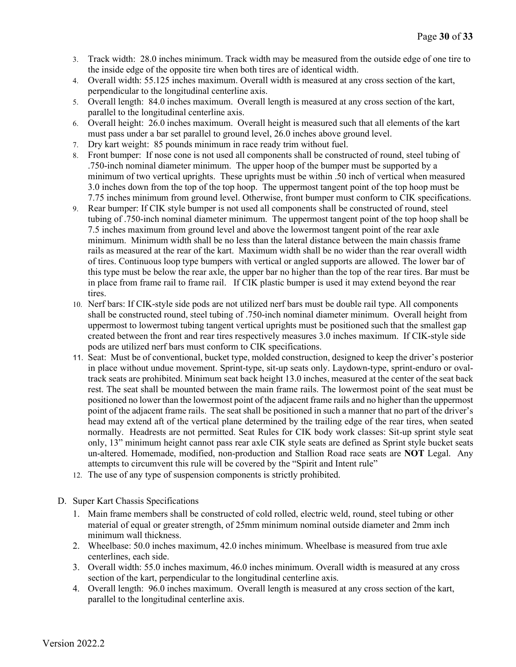- 3. Track width: 28.0 inches minimum. Track width may be measured from the outside edge of one tire to the inside edge of the opposite tire when both tires are of identical width.
- 4. Overall width: 55.125 inches maximum. Overall width is measured at any cross section of the kart, perpendicular to the longitudinal centerline axis.
- 5. Overall length: 84.0 inches maximum. Overall length is measured at any cross section of the kart, parallel to the longitudinal centerline axis.
- 6. Overall height: 26.0 inches maximum. Overall height is measured such that all elements of the kart must pass under a bar set parallel to ground level, 26.0 inches above ground level.
- 7. Dry kart weight: 85 pounds minimum in race ready trim without fuel.
- 8. Front bumper: If nose cone is not used all components shall be constructed of round, steel tubing of .750-inch nominal diameter minimum. The upper hoop of the bumper must be supported by a minimum of two vertical uprights. These uprights must be within .50 inch of vertical when measured 3.0 inches down from the top of the top hoop. The uppermost tangent point of the top hoop must be 7.75 inches minimum from ground level. Otherwise, front bumper must conform to CIK specifications.
- 9. Rear bumper: If CIK style bumper is not used all components shall be constructed of round, steel tubing of .750-inch nominal diameter minimum. The uppermost tangent point of the top hoop shall be 7.5 inches maximum from ground level and above the lowermost tangent point of the rear axle minimum. Minimum width shall be no less than the lateral distance between the main chassis frame rails as measured at the rear of the kart. Maximum width shall be no wider than the rear overall width of tires. Continuous loop type bumpers with vertical or angled supports are allowed. The lower bar of this type must be below the rear axle, the upper bar no higher than the top of the rear tires. Bar must be in place from frame rail to frame rail. If CIK plastic bumper is used it may extend beyond the rear tires.
- 10. Nerf bars: If CIK-style side pods are not utilized nerf bars must be double rail type. All components shall be constructed round, steel tubing of .750-inch nominal diameter minimum. Overall height from uppermost to lowermost tubing tangent vertical uprights must be positioned such that the smallest gap created between the front and rear tires respectively measures 3.0 inches maximum. If CIK-style side pods are utilized nerf bars must conform to CIK specifications.
- 11. Seat: Must be of conventional, bucket type, molded construction, designed to keep the driver's posterior in place without undue movement. Sprint-type, sit-up seats only. Laydown-type, sprint-enduro or ovaltrack seats are prohibited. Minimum seat back height 13.0 inches, measured at the center of the seat back rest. The seat shall be mounted between the main frame rails. The lowermost point of the seat must be positioned no lower than the lowermost point of the adjacent frame rails and no higher than the uppermost point of the adjacent frame rails. The seat shall be positioned in such a manner that no part of the driver's head may extend aft of the vertical plane determined by the trailing edge of the rear tires, when seated normally. Headrests are not permitted. Seat Rules for CIK body work classes: Sit-up sprint style seat only, 13" minimum height cannot pass rear axle CIK style seats are defined as Sprint style bucket seats un-altered. Homemade, modified, non-production and Stallion Road race seats are **NOT** Legal. Any attempts to circumvent this rule will be covered by the "Spirit and Intent rule"
- 12. The use of any type of suspension components is strictly prohibited.
- D. Super Kart Chassis Specifications
	- 1. Main frame members shall be constructed of cold rolled, electric weld, round, steel tubing or other material of equal or greater strength, of 25mm minimum nominal outside diameter and 2mm inch minimum wall thickness.
	- 2. Wheelbase: 50.0 inches maximum, 42.0 inches minimum. Wheelbase is measured from true axle centerlines, each side.
	- 3. Overall width: 55.0 inches maximum, 46.0 inches minimum. Overall width is measured at any cross section of the kart, perpendicular to the longitudinal centerline axis.
	- 4. Overall length: 96.0 inches maximum. Overall length is measured at any cross section of the kart, parallel to the longitudinal centerline axis.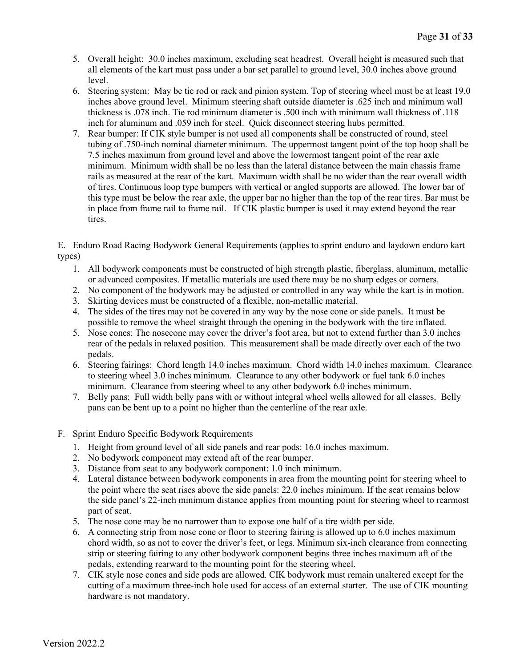- 5. Overall height: 30.0 inches maximum, excluding seat headrest. Overall height is measured such that all elements of the kart must pass under a bar set parallel to ground level, 30.0 inches above ground level.
- 6. Steering system: May be tie rod or rack and pinion system. Top of steering wheel must be at least 19.0 inches above ground level. Minimum steering shaft outside diameter is .625 inch and minimum wall thickness is .078 inch. Tie rod minimum diameter is .500 inch with minimum wall thickness of .118 inch for aluminum and .059 inch for steel. Quick disconnect steering hubs permitted.
- 7. Rear bumper: If CIK style bumper is not used all components shall be constructed of round, steel tubing of .750-inch nominal diameter minimum. The uppermost tangent point of the top hoop shall be 7.5 inches maximum from ground level and above the lowermost tangent point of the rear axle minimum. Minimum width shall be no less than the lateral distance between the main chassis frame rails as measured at the rear of the kart. Maximum width shall be no wider than the rear overall width of tires. Continuous loop type bumpers with vertical or angled supports are allowed. The lower bar of this type must be below the rear axle, the upper bar no higher than the top of the rear tires. Bar must be in place from frame rail to frame rail. If CIK plastic bumper is used it may extend beyond the rear tires.

E. Enduro Road Racing Bodywork General Requirements (applies to sprint enduro and laydown enduro kart types)

- 1. All bodywork components must be constructed of high strength plastic, fiberglass, aluminum, metallic or advanced composites. If metallic materials are used there may be no sharp edges or corners.
- 2. No component of the bodywork may be adjusted or controlled in any way while the kart is in motion.
- 3. Skirting devices must be constructed of a flexible, non-metallic material.
- 4. The sides of the tires may not be covered in any way by the nose cone or side panels. It must be possible to remove the wheel straight through the opening in the bodywork with the tire inflated.
- 5. Nose cones: The nosecone may cover the driver's foot area, but not to extend further than 3.0 inches rear of the pedals in relaxed position. This measurement shall be made directly over each of the two pedals.
- 6. Steering fairings: Chord length 14.0 inches maximum. Chord width 14.0 inches maximum. Clearance to steering wheel 3.0 inches minimum. Clearance to any other bodywork or fuel tank 6.0 inches minimum. Clearance from steering wheel to any other bodywork 6.0 inches minimum.
- 7. Belly pans: Full width belly pans with or without integral wheel wells allowed for all classes. Belly pans can be bent up to a point no higher than the centerline of the rear axle.
- F. Sprint Enduro Specific Bodywork Requirements
	- 1. Height from ground level of all side panels and rear pods: 16.0 inches maximum.
	- 2. No bodywork component may extend aft of the rear bumper.
	- 3. Distance from seat to any bodywork component: 1.0 inch minimum.
	- 4. Lateral distance between bodywork components in area from the mounting point for steering wheel to the point where the seat rises above the side panels: 22.0 inches minimum. If the seat remains below the side panel's 22-inch minimum distance applies from mounting point for steering wheel to rearmost part of seat.
	- 5. The nose cone may be no narrower than to expose one half of a tire width per side.
	- 6. A connecting strip from nose cone or floor to steering fairing is allowed up to 6.0 inches maximum chord width, so as not to cover the driver's feet, or legs. Minimum six-inch clearance from connecting strip or steering fairing to any other bodywork component begins three inches maximum aft of the pedals, extending rearward to the mounting point for the steering wheel.
	- 7. CIK style nose cones and side pods are allowed. CIK bodywork must remain unaltered except for the cutting of a maximum three-inch hole used for access of an external starter. The use of CIK mounting hardware is not mandatory.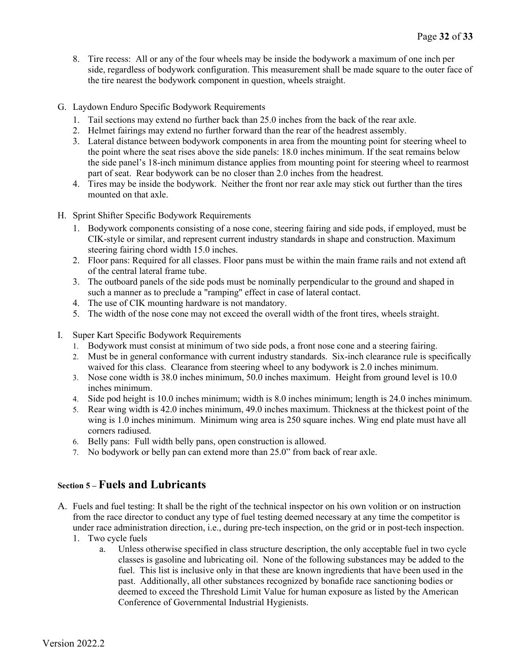- 8. Tire recess: All or any of the four wheels may be inside the bodywork a maximum of one inch per side, regardless of bodywork configuration. This measurement shall be made square to the outer face of the tire nearest the bodywork component in question, wheels straight.
- G. Laydown Enduro Specific Bodywork Requirements
	- 1. Tail sections may extend no further back than 25.0 inches from the back of the rear axle.
	- 2. Helmet fairings may extend no further forward than the rear of the headrest assembly.
	- 3. Lateral distance between bodywork components in area from the mounting point for steering wheel to the point where the seat rises above the side panels: 18.0 inches minimum. If the seat remains below the side panel's 18-inch minimum distance applies from mounting point for steering wheel to rearmost part of seat. Rear bodywork can be no closer than 2.0 inches from the headrest.
	- 4. Tires may be inside the bodywork. Neither the front nor rear axle may stick out further than the tires mounted on that axle.
- H. Sprint Shifter Specific Bodywork Requirements
	- 1. Bodywork components consisting of a nose cone, steering fairing and side pods, if employed, must be CIK-style or similar, and represent current industry standards in shape and construction. Maximum steering fairing chord width 15.0 inches.
	- 2. Floor pans: Required for all classes. Floor pans must be within the main frame rails and not extend aft of the central lateral frame tube.
	- 3. The outboard panels of the side pods must be nominally perpendicular to the ground and shaped in such a manner as to preclude a "ramping" effect in case of lateral contact.
	- 4. The use of CIK mounting hardware is not mandatory.
	- 5. The width of the nose cone may not exceed the overall width of the front tires, wheels straight.
- I. Super Kart Specific Bodywork Requirements
	- 1. Bodywork must consist at minimum of two side pods, a front nose cone and a steering fairing.
	- 2. Must be in general conformance with current industry standards. Six-inch clearance rule is specifically waived for this class. Clearance from steering wheel to any bodywork is 2.0 inches minimum.
	- 3. Nose cone width is 38.0 inches minimum, 50.0 inches maximum. Height from ground level is 10.0 inches minimum.
	- 4. Side pod height is 10.0 inches minimum; width is 8.0 inches minimum; length is 24.0 inches minimum.
	- 5. Rear wing width is 42.0 inches minimum, 49.0 inches maximum. Thickness at the thickest point of the wing is 1.0 inches minimum. Minimum wing area is 250 square inches. Wing end plate must have all corners radiused.
	- 6. Belly pans: Full width belly pans, open construction is allowed.
	- 7. No bodywork or belly pan can extend more than 25.0" from back of rear axle.

# **Section 5 – Fuels and Lubricants**

- A. Fuels and fuel testing: It shall be the right of the technical inspector on his own volition or on instruction from the race director to conduct any type of fuel testing deemed necessary at any time the competitor is under race administration direction, i.e., during pre-tech inspection, on the grid or in post-tech inspection.
	- 1. Two cycle fuels
		- a. Unless otherwise specified in class structure description, the only acceptable fuel in two cycle classes is gasoline and lubricating oil. None of the following substances may be added to the fuel. This list is inclusive only in that these are known ingredients that have been used in the past. Additionally, all other substances recognized by bonafide race sanctioning bodies or deemed to exceed the Threshold Limit Value for human exposure as listed by the American Conference of Governmental Industrial Hygienists.